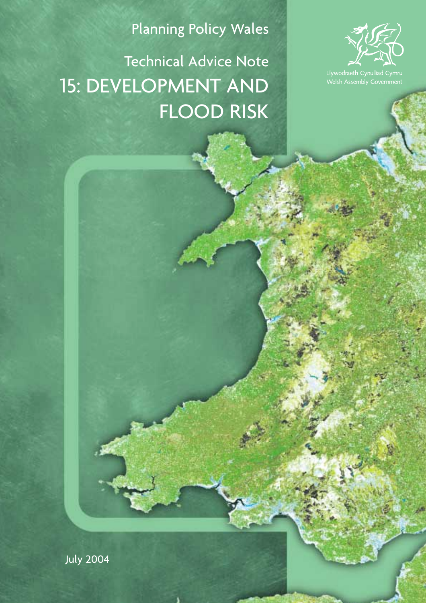

Planning Policy Wales

Technical Advice Note 15: DEVELOPMENT AND FLOOD RISK

July 2004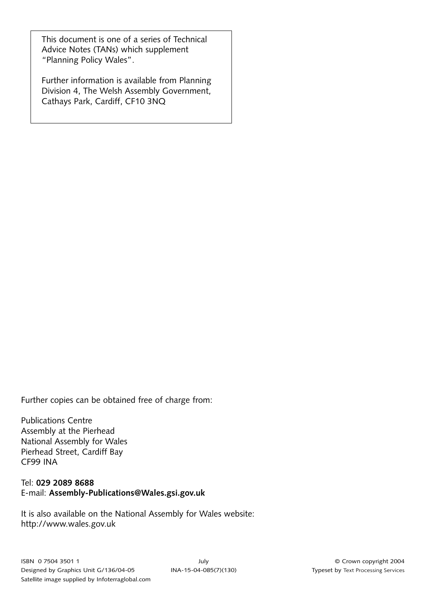This document is one of a series of Technical Advice Notes (TANs) which supplement "Planning Policy Wales".

Further information is available from Planning Division 4, The Welsh Assembly Government, Cathays Park, Cardiff, CF10 3NQ

Further copies can be obtained free of charge from:

Publications Centre Assembly at the Pierhead National Assembly for Wales Pierhead Street, Cardiff Bay CF99 INA

#### Tel: **029 2089 8688** E-mail: **Assembly-Publications@Wales.gsi.gov.uk**

It is also available on the National Assembly for Wales website: http://www.wales.gov.uk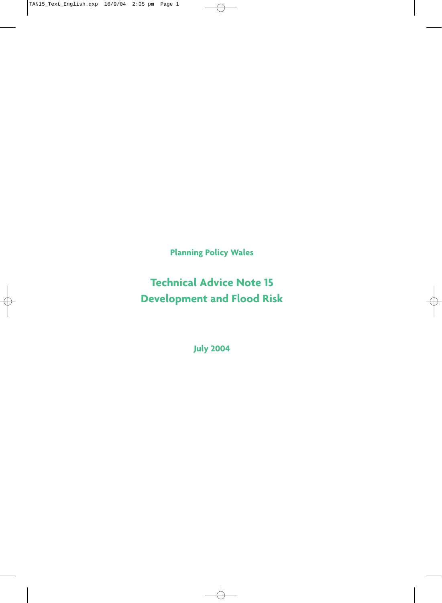**Planning Policy Wales**

# **Technical Advice Note 15 Development and Flood Risk**

**July 2004**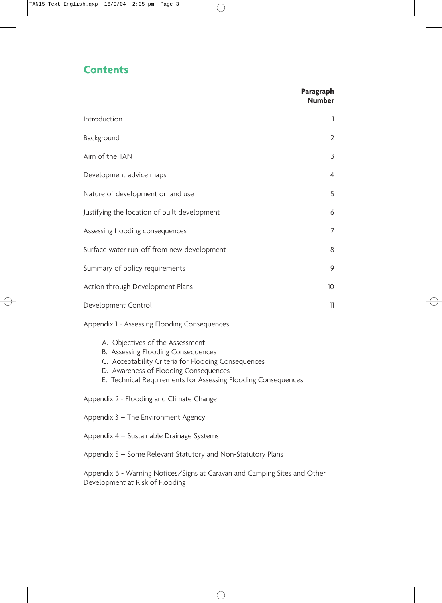# **Contents**

#### **Paragraph Number**

| Introduction                                 | 1               |
|----------------------------------------------|-----------------|
| Background                                   | $\overline{2}$  |
| Aim of the TAN                               | 3               |
| Development advice maps                      | $\overline{4}$  |
| Nature of development or land use            | 5               |
| Justifying the location of built development | 6               |
| Assessing flooding consequences              | $\overline{7}$  |
| Surface water run-off from new development   | 8               |
| Summary of policy requirements               | 9               |
| Action through Development Plans             | 10 <sup>°</sup> |
| Development Control                          | 11              |

Appendix 1 - Assessing Flooding Consequences

- A. Objectives of the Assessment
- B. Assessing Flooding Consequences
- C. Acceptability Criteria for Flooding Consequences
- D. Awareness of Flooding Consequences
- E. Technical Requirements for Assessing Flooding Consequences

Appendix 2 - Flooding and Climate Change

Appendix 3 – The Environment Agency

Appendix 4 – Sustainable Drainage Systems

Appendix 5 – Some Relevant Statutory and Non-Statutory Plans

Appendix 6 - Warning Notices/Signs at Caravan and Camping Sites and Other Development at Risk of Flooding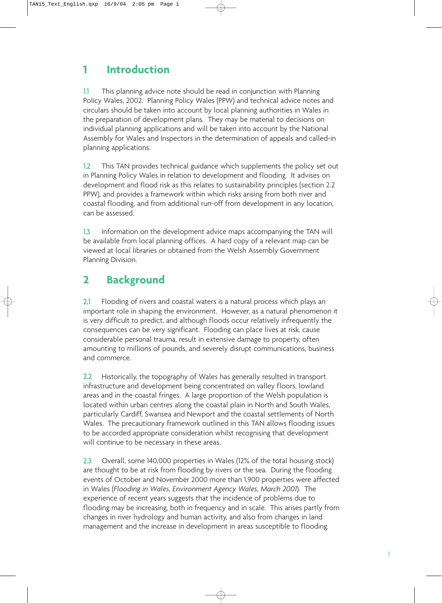# **1 Introduction**

1.1 This planning advice note should be read in conjunction with Planning Policy Wales, 2002. Planning Policy Wales (PPW) and technical advice notes and circulars should be taken into account by local planning authorities in Wales in the preparation of development plans. They may be material to decisions on individual planning applications and will be taken into account by the National Assembly for Wales and Inspectors in the determination of appeals and called-in planning applications.

1.2 This TAN provides technical guidance which supplements the policy set out in Planning Policy Wales in relation to development and flooding. It advises on development and flood risk as this relates to sustainability principles (section 2.2 PPW), and provides a framework within which risks arising from both river and coastal flooding, and from additional run-off from development in any location, can be assessed.

1.3 Information on the development advice maps accompanying the TAN will be available from local planning offices. A hard copy of a relevant map can be viewed at local libraries or obtained from the Welsh Assembly Government Planning Division.

# **2 Background**

2.1 Flooding of rivers and coastal waters is a natural process which plays an important role in shaping the environment. However, as a natural phenomenon it is very difficult to predict, and although floods occur relatively infrequently the consequences can be very significant. Flooding can place lives at risk, cause considerable personal trauma, result in extensive damage to property, often amounting to millions of pounds, and severely disrupt communications, business and commerce.

2.2 Historically, the topography of Wales has generally resulted in transport infrastructure and development being concentrated on valley floors, lowland areas and in the coastal fringes. A large proportion of the Welsh population is located within urban centres along the coastal plain in North and South Wales, particularly Cardiff, Swansea and Newport and the coastal settlements of North Wales. The precautionary framework outlined in this TAN allows flooding issues to be accorded appropriate consideration whilst recognising that development will continue to be necessary in these areas.

2.3 Overall, some 140,000 properties in Wales (12% of the total housing stock) are thought to be at risk from flooding by rivers or the sea. During the flooding events of October and November 2000 more than 1,900 properties were affected in Wales (*Flooding in Wales, Environment Agency Wales, March 2001*). The experience of recent years suggests that the incidence of problems due to flooding may be increasing, both in frequency and in scale. This arises partly from changes in river hydrology and human activity, and also from changes in land management and the increase in development in areas susceptible to flooding.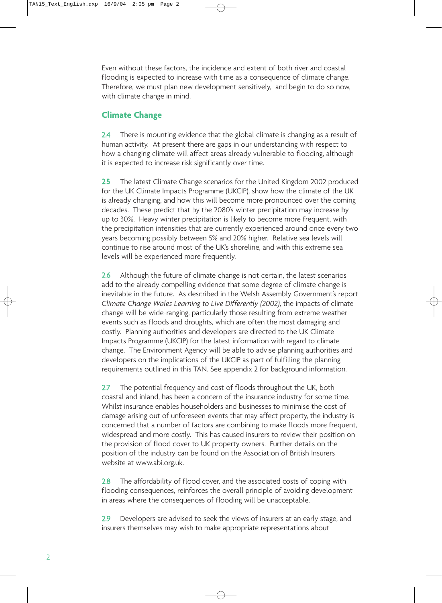Even without these factors, the incidence and extent of both river and coastal flooding is expected to increase with time as a consequence of climate change. Therefore, we must plan new development sensitively, and begin to do so now, with climate change in mind.

# **Climate Change**

2.4 There is mounting evidence that the global climate is changing as a result of human activity. At present there are gaps in our understanding with respect to how a changing climate will affect areas already vulnerable to flooding, although it is expected to increase risk significantly over time.

2.5 The latest Climate Change scenarios for the United Kingdom 2002 produced for the UK Climate Impacts Programme (UKCIP), show how the climate of the UK is already changing, and how this will become more pronounced over the coming decades. These predict that by the 2080's winter precipitation may increase by up to 30%. Heavy winter precipitation is likely to become more frequent, with the precipitation intensities that are currently experienced around once every two years becoming possibly between 5% and 20% higher. Relative sea levels will continue to rise around most of the UK's shoreline, and with this extreme sea levels will be experienced more frequently.

2.6 Although the future of climate change is not certain, the latest scenarios add to the already compelling evidence that some degree of climate change is inevitable in the future. As described in the Welsh Assembly Government's report *Climate Change Wales Learning to Live Differently (2002)*, the impacts of climate change will be wide-ranging, particularly those resulting from extreme weather events such as floods and droughts, which are often the most damaging and costly. Planning authorities and developers are directed to the UK Climate Impacts Programme (UKCIP) for the latest information with regard to climate change. The Environment Agency will be able to advise planning authorities and developers on the implications of the UKCIP as part of fulfilling the planning requirements outlined in this TAN. See appendix 2 for background information.

2.7 The potential frequency and cost of floods throughout the UK, both coastal and inland, has been a concern of the insurance industry for some time. Whilst insurance enables householders and businesses to minimise the cost of damage arising out of unforeseen events that may affect property, the industry is concerned that a number of factors are combining to make floods more frequent, widespread and more costly. This has caused insurers to review their position on the provision of flood cover to UK property owners. Further details on the position of the industry can be found on the Association of British Insurers website at www.abi.org.uk.

2.8 The affordability of flood cover, and the associated costs of coping with flooding consequences, reinforces the overall principle of avoiding development in areas where the consequences of flooding will be unacceptable.

2.9 Developers are advised to seek the views of insurers at an early stage, and insurers themselves may wish to make appropriate representations about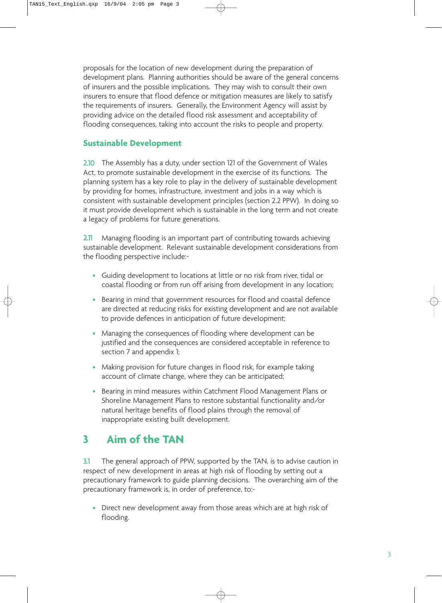proposals for the location of new development during the preparation of development plans. Planning authorities should be aware of the general concerns of insurers and the possible implications. They may wish to consult their own insurers to ensure that flood defence or mitigation measures are likely to satisfy the requirements of insurers. Generally, the Environment Agency will assist by providing advice on the detailed flood risk assessment and acceptability of flooding consequences, taking into account the risks to people and property.

## **Sustainable Development**

2.10 The Assembly has a duty, under section 121 of the Government of Wales Act, to promote sustainable development in the exercise of its functions. The planning system has a key role to play in the delivery of sustainable development by providing for homes, infrastructure, investment and jobs in a way which is consistent with sustainable development principles (section 2.2 PPW). In doing so it must provide development which is sustainable in the long term and not create a legacy of problems for future generations.

2.11 Managing flooding is an important part of contributing towards achieving sustainable development. Relevant sustainable development considerations from the flooding perspective include:-

- Guiding development to locations at little or no risk from river, tidal or coastal flooding or from run off arising from development in any location;
- Bearing in mind that government resources for flood and coastal defence are directed at reducing risks for existing development and are not available to provide defences in anticipation of future development;
- Managing the consequences of flooding where development can be justified and the consequences are considered acceptable in reference to section 7 and appendix 1;
- Making provision for future changes in flood risk, for example taking account of climate change, where they can be anticipated;
- Bearing in mind measures within Catchment Flood Management Plans or Shoreline Management Plans to restore substantial functionality and/or natural heritage benefits of flood plains through the removal of inappropriate existing built development.

# **3 Aim of the TAN**

3.1 The general approach of PPW, supported by the TAN, is to advise caution in respect of new development in areas at high risk of flooding by setting out a precautionary framework to guide planning decisions. The overarching aim of the precautionary framework is, in order of preference, to:-

• Direct new development away from those areas which are at high risk of flooding.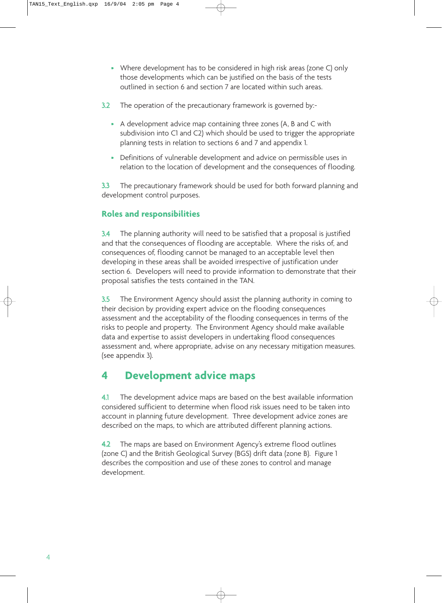- Where development has to be considered in high risk areas (zone C) only those developments which can be justified on the basis of the tests outlined in section 6 and section 7 are located within such areas.
- 3.2 The operation of the precautionary framework is governed by:-
	- A development advice map containing three zones (A, B and C with subdivision into C1 and C2) which should be used to trigger the appropriate planning tests in relation to sections 6 and 7 and appendix 1.
	- Definitions of vulnerable development and advice on permissible uses in relation to the location of development and the consequences of flooding.

3.3 The precautionary framework should be used for both forward planning and development control purposes.

## **Roles and responsibilities**

3.4 The planning authority will need to be satisfied that a proposal is justified and that the consequences of flooding are acceptable. Where the risks of, and consequences of, flooding cannot be managed to an acceptable level then developing in these areas shall be avoided irrespective of justification under section 6. Developers will need to provide information to demonstrate that their proposal satisfies the tests contained in the TAN.

3.5 The Environment Agency should assist the planning authority in coming to their decision by providing expert advice on the flooding consequences assessment and the acceptability of the flooding consequences in terms of the risks to people and property. The Environment Agency should make available data and expertise to assist developers in undertaking flood consequences assessment and, where appropriate, advise on any necessary mitigation measures. (see appendix 3).

# **4 Development advice maps**

4.1 The development advice maps are based on the best available information considered sufficient to determine when flood risk issues need to be taken into account in planning future development. Three development advice zones are described on the maps, to which are attributed different planning actions.

4.2 The maps are based on Environment Agency's extreme flood outlines (zone C) and the British Geological Survey (BGS) drift data (zone B). Figure 1 describes the composition and use of these zones to control and manage development.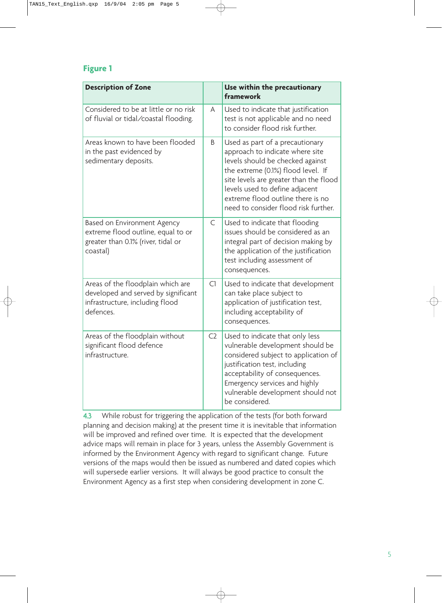# **Figure 1**

| <b>Description of Zone</b>                                                                                               |                | Use within the precautionary<br>framework                                                                                                                                                                                                                                                             |
|--------------------------------------------------------------------------------------------------------------------------|----------------|-------------------------------------------------------------------------------------------------------------------------------------------------------------------------------------------------------------------------------------------------------------------------------------------------------|
| Considered to be at little or no risk<br>of fluvial or tidal/coastal flooding.                                           | A              | Used to indicate that justification<br>test is not applicable and no need<br>to consider flood risk further.                                                                                                                                                                                          |
| Areas known to have been flooded<br>in the past evidenced by<br>sedimentary deposits.                                    | B              | Used as part of a precautionary<br>approach to indicate where site<br>levels should be checked against<br>the extreme (0.1%) flood level. If<br>site levels are greater than the flood<br>levels used to define adjacent<br>extreme flood outline there is no<br>need to consider flood risk further. |
| Based on Environment Agency<br>extreme flood outline, equal to or<br>greater than 0.1% (river, tidal or<br>coastal)      | $\mathsf{C}$   | Used to indicate that flooding<br>issues should be considered as an<br>integral part of decision making by<br>the application of the justification<br>test including assessment of<br>consequences.                                                                                                   |
| Areas of the floodplain which are<br>developed and served by significant<br>infrastructure, including flood<br>defences. | C1             | Used to indicate that development<br>can take place subject to<br>application of justification test,<br>including acceptability of<br>consequences.                                                                                                                                                   |
| Areas of the floodplain without<br>significant flood defence<br>infrastructure.                                          | C <sub>2</sub> | Used to indicate that only less<br>vulnerable development should be<br>considered subject to application of<br>justification test, including<br>acceptability of consequences.<br>Emergency services and highly<br>vulnerable development should not<br>be considered.                                |

4.3 While robust for triggering the application of the tests (for both forward planning and decision making) at the present time it is inevitable that information will be improved and refined over time. It is expected that the development advice maps will remain in place for 3 years, unless the Assembly Government is informed by the Environment Agency with regard to significant change. Future versions of the maps would then be issued as numbered and dated copies which will supersede earlier versions. It will always be good practice to consult the Environment Agency as a first step when considering development in zone C.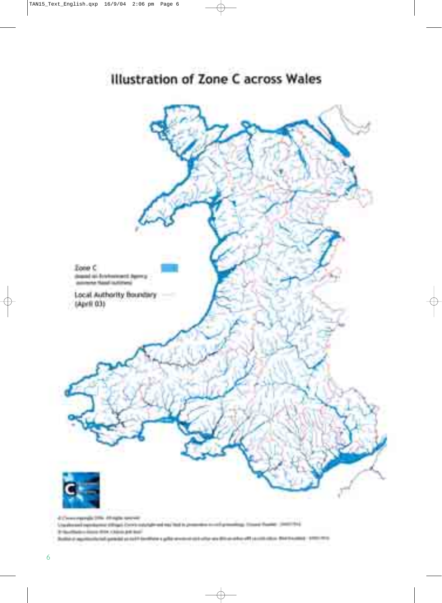# Illustration of Zone C across Wales



a 10% dil aglia a di i

Unadersed opposes of the Contract of Arts and Arts and Arts in Contractor of the Committee County County (1991) 744

21 Southwest Court State (Admin Art And)

Builde of equiticalizate galaxies as such facilities a pilla sextent coll offer an Bib at other eff possibility of the housing of the map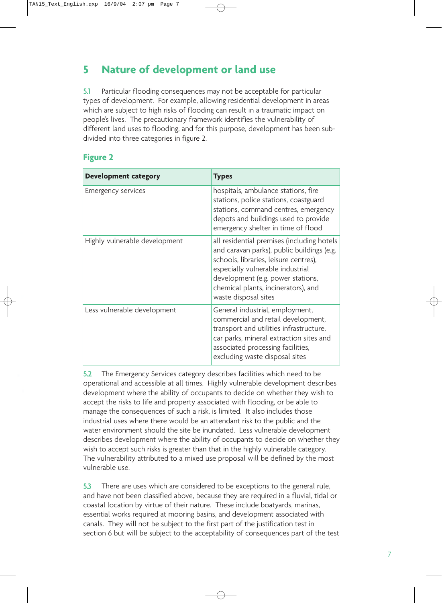# **5 Nature of development or land use**

5.1 Particular flooding consequences may not be acceptable for particular types of development. For example, allowing residential development in areas which are subject to high risks of flooding can result in a traumatic impact on people's lives. The precautionary framework identifies the vulnerability of different land uses to flooding, and for this purpose, development has been subdivided into three categories in figure 2.

## **Figure 2**

| <b>Development category</b>   | <b>Types</b>                                                                                                                                                                                                                                                              |
|-------------------------------|---------------------------------------------------------------------------------------------------------------------------------------------------------------------------------------------------------------------------------------------------------------------------|
| <b>Emergency services</b>     | hospitals, ambulance stations, fire<br>stations, police stations, coastguard<br>stations, command centres, emergency<br>depots and buildings used to provide<br>emergency shelter in time of flood                                                                        |
| Highly vulnerable development | all residential premises (including hotels<br>and caravan parks), public buildings (e.g.<br>schools, libraries, leisure centres),<br>especially vulnerable industrial<br>development (e.g. power stations,<br>chemical plants, incinerators), and<br>waste disposal sites |
| Less vulnerable development   | General industrial, employment,<br>commercial and retail development,<br>transport and utilities infrastructure,<br>car parks, mineral extraction sites and<br>associated processing facilities,<br>excluding waste disposal sites                                        |

5.2 The Emergency Services category describes facilities which need to be operational and accessible at all times. Highly vulnerable development describes development where the ability of occupants to decide on whether they wish to accept the risks to life and property associated with flooding, or be able to manage the consequences of such a risk, is limited. It also includes those industrial uses where there would be an attendant risk to the public and the water environment should the site be inundated. Less vulnerable development describes development where the ability of occupants to decide on whether they wish to accept such risks is greater than that in the highly vulnerable category. The vulnerability attributed to a mixed use proposal will be defined by the most vulnerable use.

5.3 There are uses which are considered to be exceptions to the general rule, and have not been classified above, because they are required in a fluvial, tidal or coastal location by virtue of their nature. These include boatyards, marinas, essential works required at mooring basins, and development associated with canals. They will not be subject to the first part of the justification test in section 6 but will be subject to the acceptability of consequences part of the test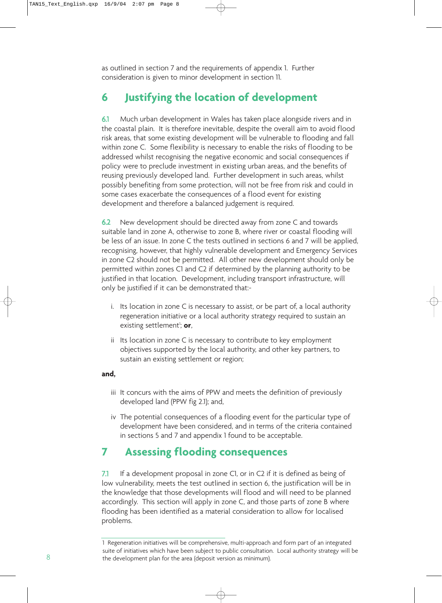as outlined in section 7 and the requirements of appendix 1. Further consideration is given to minor development in section 11.

# **6 Justifying the location of development**

6.1 Much urban development in Wales has taken place alongside rivers and in the coastal plain. It is therefore inevitable, despite the overall aim to avoid flood risk areas, that some existing development will be vulnerable to flooding and fall within zone C. Some flexibility is necessary to enable the risks of flooding to be addressed whilst recognising the negative economic and social consequences if policy were to preclude investment in existing urban areas, and the benefits of reusing previously developed land. Further development in such areas, whilst possibly benefiting from some protection, will not be free from risk and could in some cases exacerbate the consequences of a flood event for existing development and therefore a balanced judgement is required.

6.2 New development should be directed away from zone C and towards suitable land in zone A, otherwise to zone B, where river or coastal flooding will be less of an issue. In zone C the tests outlined in sections 6 and 7 will be applied, recognising, however, that highly vulnerable development and Emergency Services in zone C2 should not be permitted. All other new development should only be permitted within zones C1 and C2 if determined by the planning authority to be justified in that location. Development, including transport infrastructure, will only be justified if it can be demonstrated that:-

- i. Its location in zone C is necessary to assist, or be part of, a local authority regeneration initiative or a local authority strategy required to sustain an existing settlement<sup>1</sup>; **or**,
- ii Its location in zone C is necessary to contribute to key employment objectives supported by the local authority, and other key partners, to sustain an existing settlement or region;

#### **and,**

- iii It concurs with the aims of PPW and meets the definition of previously developed land (PPW fig 2.1); and,
- iv The potential consequences of a flooding event for the particular type of development have been considered, and in terms of the criteria contained in sections 5 and 7 and appendix 1 found to be acceptable.

# **7 Assessing flooding consequences**

7.1 If a development proposal in zone C1, or in C2 if it is defined as being of low vulnerability, meets the test outlined in section 6, the justification will be in the knowledge that those developments will flood and will need to be planned accordingly. This section will apply in zone C, and those parts of zone B where flooding has been identified as a material consideration to allow for localised problems.

<sup>1</sup> Regeneration initiatives will be comprehensive, multi-approach and form part of an integrated suite of initiatives which have been subject to public consultation. Local authority strategy will be the development plan for the area (deposit version as minimum).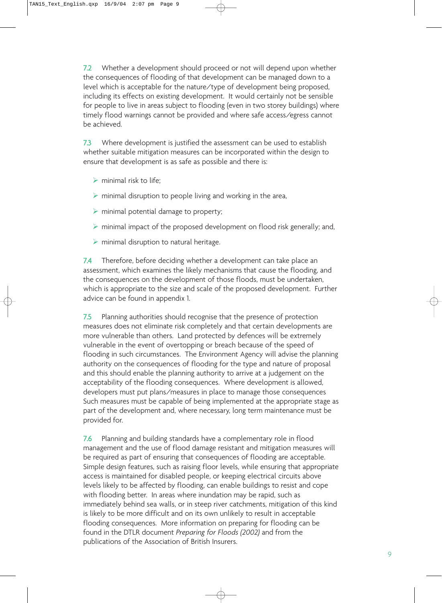7.2 Whether a development should proceed or not will depend upon whether the consequences of flooding of that development can be managed down to a level which is acceptable for the nature/type of development being proposed, including its effects on existing development. It would certainly not be sensible for people to live in areas subject to flooding (even in two storey buildings) where timely flood warnings cannot be provided and where safe access/egress cannot be achieved.

7.3 Where development is justified the assessment can be used to establish whether suitable mitigation measures can be incorporated within the design to ensure that development is as safe as possible and there is:

- $\triangleright$  minimal risk to life:
- $\triangleright$  minimal disruption to people living and working in the area,
- $\triangleright$  minimal potential damage to property;
- $\triangleright$  minimal impact of the proposed development on flood risk generally; and,
- $\triangleright$  minimal disruption to natural heritage.

7.4 Therefore, before deciding whether a development can take place an assessment, which examines the likely mechanisms that cause the flooding, and the consequences on the development of those floods, must be undertaken, which is appropriate to the size and scale of the proposed development. Further advice can be found in appendix 1.

7.5 Planning authorities should recognise that the presence of protection measures does not eliminate risk completely and that certain developments are more vulnerable than others. Land protected by defences will be extremely vulnerable in the event of overtopping or breach because of the speed of flooding in such circumstances. The Environment Agency will advise the planning authority on the consequences of flooding for the type and nature of proposal and this should enable the planning authority to arrive at a judgement on the acceptability of the flooding consequences. Where development is allowed, developers must put plans/measures in place to manage those consequences Such measures must be capable of being implemented at the appropriate stage as part of the development and, where necessary, long term maintenance must be provided for.

7.6 Planning and building standards have a complementary role in flood management and the use of flood damage resistant and mitigation measures will be required as part of ensuring that consequences of flooding are acceptable. Simple design features, such as raising floor levels, while ensuring that appropriate access is maintained for disabled people, or keeping electrical circuits above levels likely to be affected by flooding, can enable buildings to resist and cope with flooding better. In areas where inundation may be rapid, such as immediately behind sea walls, or in steep river catchments, mitigation of this kind is likely to be more difficult and on its own unlikely to result in acceptable flooding consequences. More information on preparing for flooding can be found in the DTLR document *Preparing for Floods (2002)* and from the publications of the Association of British Insurers.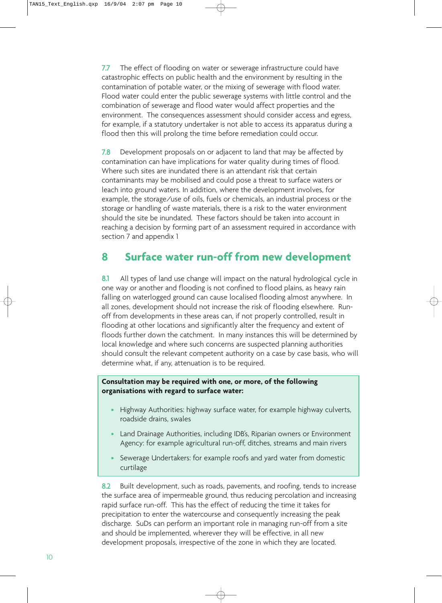7.7 The effect of flooding on water or sewerage infrastructure could have catastrophic effects on public health and the environment by resulting in the contamination of potable water, or the mixing of sewerage with flood water. Flood water could enter the public sewerage systems with little control and the combination of sewerage and flood water would affect properties and the environment. The consequences assessment should consider access and egress, for example, if a statutory undertaker is not able to access its apparatus during a flood then this will prolong the time before remediation could occur.

7.8 Development proposals on or adjacent to land that may be affected by contamination can have implications for water quality during times of flood. Where such sites are inundated there is an attendant risk that certain contaminants may be mobilised and could pose a threat to surface waters or leach into ground waters. In addition, where the development involves, for example, the storage/use of oils, fuels or chemicals, an industrial process or the storage or handling of waste materials, there is a risk to the water environment should the site be inundated. These factors should be taken into account in reaching a decision by forming part of an assessment required in accordance with section 7 and appendix 1

# **8 Surface water run-off from new development**

8.1 All types of land use change will impact on the natural hydrological cycle in one way or another and flooding is not confined to flood plains, as heavy rain falling on waterlogged ground can cause localised flooding almost anywhere. In all zones, development should not increase the risk of flooding elsewhere. Runoff from developments in these areas can, if not properly controlled, result in flooding at other locations and significantly alter the frequency and extent of floods further down the catchment. In many instances this will be determined by local knowledge and where such concerns are suspected planning authorities should consult the relevant competent authority on a case by case basis, who will determine what, if any, attenuation is to be required.

#### **Consultation may be required with one, or more, of the following organisations with regard to surface water:**

- Highway Authorities: highway surface water, for example highway culverts, roadside drains, swales
- Land Drainage Authorities, including IDB's, Riparian owners or Environment Agency: for example agricultural run-off, ditches, streams and main rivers
- Sewerage Undertakers: for example roofs and yard water from domestic curtilage

8.2 Built development, such as roads, pavements, and roofing, tends to increase the surface area of impermeable ground, thus reducing percolation and increasing rapid surface run-off. This has the effect of reducing the time it takes for precipitation to enter the watercourse and consequently increasing the peak discharge. SuDs can perform an important role in managing run-off from a site and should be implemented, wherever they will be effective, in all new development proposals, irrespective of the zone in which they are located.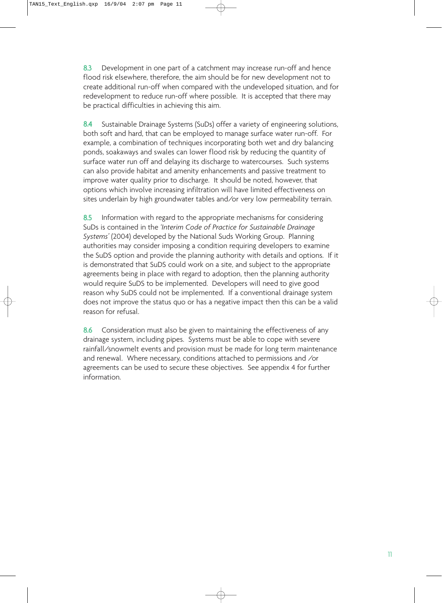8.3 Development in one part of a catchment may increase run-off and hence flood risk elsewhere, therefore, the aim should be for new development not to create additional run-off when compared with the undeveloped situation, and for redevelopment to reduce run-off where possible. It is accepted that there may be practical difficulties in achieving this aim.

8.4 Sustainable Drainage Systems (SuDs) offer a variety of engineering solutions, both soft and hard, that can be employed to manage surface water run-off. For example, a combination of techniques incorporating both wet and dry balancing ponds, soakaways and swales can lower flood risk by reducing the quantity of surface water run off and delaying its discharge to watercourses. Such systems can also provide habitat and amenity enhancements and passive treatment to improve water quality prior to discharge. It should be noted, however, that options which involve increasing infiltration will have limited effectiveness on sites underlain by high groundwater tables and/or very low permeability terrain.

8.5 Information with regard to the appropriate mechanisms for considering SuDs is contained in the *'Interim Code of Practice for Sustainable Drainage Systems'* (2004) developed by the National Suds Working Group. Planning authorities may consider imposing a condition requiring developers to examine the SuDS option and provide the planning authority with details and options. If it is demonstrated that SuDS could work on a site, and subject to the appropriate agreements being in place with regard to adoption, then the planning authority would require SuDS to be implemented. Developers will need to give good reason why SuDS could not be implemented. If a conventional drainage system does not improve the status quo or has a negative impact then this can be a valid reason for refusal.

8.6 Consideration must also be given to maintaining the effectiveness of any drainage system, including pipes. Systems must be able to cope with severe rainfall/snowmelt events and provision must be made for long term maintenance and renewal. Where necessary, conditions attached to permissions and /or agreements can be used to secure these objectives. See appendix 4 for further information.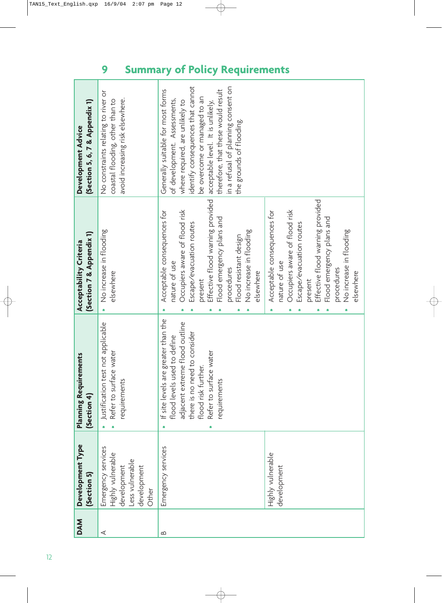| the grounds of flooding.<br>Effective flood warning provided<br>Effective flood warning provided<br>Occupiers aware of flood risk<br>Acceptable consequences for<br>Occupiers aware of flood risk<br>Acceptable consequences for<br>Flood emergency plans and<br>Flood emergency plans and<br>Escape/evacuation routes<br>Escape/evacuation routes<br>No increase in flooding<br>No increase in flooding<br>Flood resistant design<br>nature of use<br>nature of use<br>procedures<br>procedures<br>elsewhere<br>elsewhere<br>present<br>present<br>greater than the<br>adjacent extreme flood outline<br>not applicable<br>to consider<br>flood levels used to define<br>water<br>water<br>flood risk further.<br>Justification test<br>Refer to surface<br>If site levels are<br>there is no need<br>Refer to surface<br>requirements<br>requirements<br>$\blacksquare$<br>Emergency services<br>Emergency services<br>Highly vulnerable<br>Highly vulnerable<br>Less vulnerable<br>development<br>development<br>development<br>Other<br>⋖<br>ഥ | <b>DAM</b> | Development Type<br>(Section 5) | <b>Planning Requirements</b><br>(Section 4) | (Section 7 & Appendix 1)<br><b>Acceptability Criteria</b> | (Section 5, 6, 7 & Appendix 1)<br>Development Advice                                                                                                                                                                                                                                        |
|----------------------------------------------------------------------------------------------------------------------------------------------------------------------------------------------------------------------------------------------------------------------------------------------------------------------------------------------------------------------------------------------------------------------------------------------------------------------------------------------------------------------------------------------------------------------------------------------------------------------------------------------------------------------------------------------------------------------------------------------------------------------------------------------------------------------------------------------------------------------------------------------------------------------------------------------------------------------------------------------------------------------------------------------------|------------|---------------------------------|---------------------------------------------|-----------------------------------------------------------|---------------------------------------------------------------------------------------------------------------------------------------------------------------------------------------------------------------------------------------------------------------------------------------------|
|                                                                                                                                                                                                                                                                                                                                                                                                                                                                                                                                                                                                                                                                                                                                                                                                                                                                                                                                                                                                                                                    |            |                                 |                                             |                                                           | No constraints relating to river or<br>avoid increasing risk elsewhere.<br>coastal flooding, other than to                                                                                                                                                                                  |
| No increase in flooding<br>elsewhere                                                                                                                                                                                                                                                                                                                                                                                                                                                                                                                                                                                                                                                                                                                                                                                                                                                                                                                                                                                                               |            |                                 |                                             |                                                           | identify consequences that cannot<br>in a refusal of planning consent on<br>therefore, that these would result<br>Generally suitable for most forms<br>be overcome or managed to an<br>of development. Assessments,<br>where required, are unlikely to<br>acceptable level. It is unlikely, |

# **9 Summary of Policy Requirements**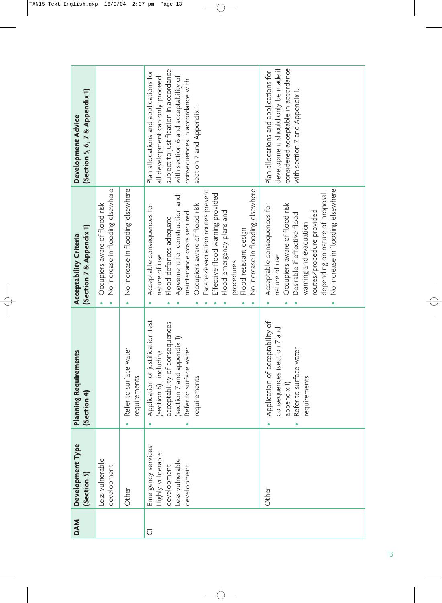| <b>DAM</b>        | Development Type<br>(Section 5)                                                          | <b>Planning Requirements</b><br>[Section 4]                                                                                                                          | (Section 7 & Appendix 1)<br>Acceptability Criteria                                                                                                                                                                                                                                                                                                        | [Section 5, 6, 7 & Appendix 1]<br>Development Advice                                                                                                                                                                       |
|-------------------|------------------------------------------------------------------------------------------|----------------------------------------------------------------------------------------------------------------------------------------------------------------------|-----------------------------------------------------------------------------------------------------------------------------------------------------------------------------------------------------------------------------------------------------------------------------------------------------------------------------------------------------------|----------------------------------------------------------------------------------------------------------------------------------------------------------------------------------------------------------------------------|
|                   | Less vulnerable<br>development                                                           |                                                                                                                                                                      | No increase in flooding elsewhere<br>Occupiers aware of flood risk                                                                                                                                                                                                                                                                                        |                                                                                                                                                                                                                            |
|                   | Other                                                                                    | Refer to surface water<br>requirements                                                                                                                               | No increase in flooding elsewhere                                                                                                                                                                                                                                                                                                                         |                                                                                                                                                                                                                            |
| $\overline{\cup}$ | Emergency services<br>Highly vulnerable<br>Less vulnerable<br>development<br>development | Application of justification test<br>acceptability of consequences<br>(section 7 and appendix 1)<br>Refer to surface water<br>(section 6), including<br>requirements | No increase in flooding elsewhere<br>Escape/evacuation routes present<br>Effective flood warning provided<br>Agreement for construction and<br>Occupiers aware of flood risk<br>Acceptable consequences for<br>Flood emergency plans and<br>maintenance costs secured<br>Flood defences adequate<br>Flood resistant design<br>nature of use<br>procedures | subject to justification in accordance<br>Plan allocations and applications for<br>with section 6 and acceptability of<br>all development can only proceed<br>consequences in accordance with<br>section 7 and Appendix 1. |
|                   | Other                                                                                    | ptability of<br>consequences (section 7 and<br>Refer to surface water<br>Application of acce<br>requirements<br>appendix 1)                                          | No increase in flooding elsewhere<br>depending on nature of proposal<br>Occupiers aware of flood risk<br>Acceptable consequences for<br>routes/procedure provided<br>Desirable if effective flood<br>warning and evacuation<br>nature of use                                                                                                              | development should only be made if<br>considered acceptable in accordance<br>Plan allocations and applications for<br>with section 7 and Appendix 1.                                                                       |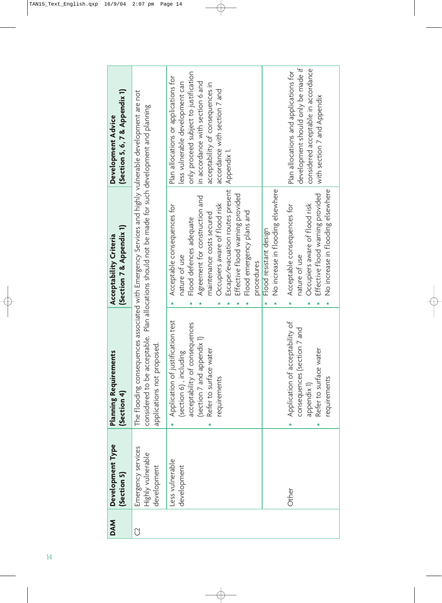| <b>DAM</b> | Development Type<br>(Section 5)                        | <b>Planning Requirements</b><br>Section 4)                                                                                                                           | (Section 7 & Appendix 1)<br>Acceptability Criteria                                                                                                                                                                                                                                         | [Section 5, 6, 7 & Appendix 1]<br>Development Advice                                                                                                                                                                                     |
|------------|--------------------------------------------------------|----------------------------------------------------------------------------------------------------------------------------------------------------------------------|--------------------------------------------------------------------------------------------------------------------------------------------------------------------------------------------------------------------------------------------------------------------------------------------|------------------------------------------------------------------------------------------------------------------------------------------------------------------------------------------------------------------------------------------|
| ි          | Emergency services<br>Highly vulnerable<br>development | applications not proposed.                                                                                                                                           | The flooding consequences associated with Emergency Services and highly vulnerable development are not<br>considered to be acceptable. Plan allocations should not be made for such development and planning                                                                               |                                                                                                                                                                                                                                          |
|            | Less vulnerable<br>development                         | Application of justification test<br>acceptability of consequences<br>(section 7 and appendix 1)<br>Refer to surface water<br>(section 6), including<br>requirements | Escape/evacuation routes present<br>Effective flood warning provided<br>Agreement for construction and<br>Occupiers aware of flood risk<br>Acceptable consequences for<br>Flood emergency plans and<br>maintenance costs secured<br>Flood defences adequate<br>nature of use<br>procedures | only proceed subject to justification<br>Plan allocations or applications for<br>in accordance with section 6 and<br>less vulnerable development can<br>acceptability of consequences in<br>accordance with section 7 and<br>Appendix 1. |
|            | Other                                                  | Application of acceptability of<br>ion 7 and<br>Refer to surface water<br>consequences (sect<br>requirements<br>appendix 1)                                          | No increase in flooding elsewhere<br>No increase in flooding elsewhere<br>Effective flood warning provided<br>Occupiers aware of flood risk<br>Acceptable consequences for<br>Flood resistant design<br>nature of use                                                                      | development should only be made if<br>considered acceptable in accordance<br>Plan allocations and applications for<br>with section 7 and Appendix                                                                                        |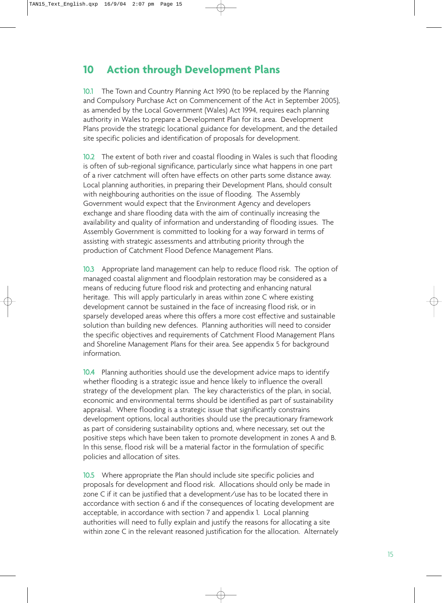# **10 Action through Development Plans**

10.1 The Town and Country Planning Act 1990 (to be replaced by the Planning and Compulsory Purchase Act on Commencement of the Act in September 2005), as amended by the Local Government (Wales) Act 1994, requires each planning authority in Wales to prepare a Development Plan for its area. Development Plans provide the strategic locational guidance for development, and the detailed site specific policies and identification of proposals for development.

10.2 The extent of both river and coastal flooding in Wales is such that flooding is often of sub-regional significance, particularly since what happens in one part of a river catchment will often have effects on other parts some distance away. Local planning authorities, in preparing their Development Plans, should consult with neighbouring authorities on the issue of flooding. The Assembly Government would expect that the Environment Agency and developers exchange and share flooding data with the aim of continually increasing the availability and quality of information and understanding of flooding issues. The Assembly Government is committed to looking for a way forward in terms of assisting with strategic assessments and attributing priority through the production of Catchment Flood Defence Management Plans.

10.3 Appropriate land management can help to reduce flood risk. The option of managed coastal alignment and floodplain restoration may be considered as a means of reducing future flood risk and protecting and enhancing natural heritage. This will apply particularly in areas within zone C where existing development cannot be sustained in the face of increasing flood risk, or in sparsely developed areas where this offers a more cost effective and sustainable solution than building new defences. Planning authorities will need to consider the specific objectives and requirements of Catchment Flood Management Plans and Shoreline Management Plans for their area. See appendix 5 for background information.

10.4 Planning authorities should use the development advice maps to identify whether flooding is a strategic issue and hence likely to influence the overall strategy of the development plan. The key characteristics of the plan, in social, economic and environmental terms should be identified as part of sustainability appraisal. Where flooding is a strategic issue that significantly constrains development options, local authorities should use the precautionary framework as part of considering sustainability options and, where necessary, set out the positive steps which have been taken to promote development in zones A and B. In this sense, flood risk will be a material factor in the formulation of specific policies and allocation of sites.

10.5 Where appropriate the Plan should include site specific policies and proposals for development and flood risk. Allocations should only be made in zone C if it can be justified that a development/use has to be located there in accordance with section 6 and if the consequences of locating development are acceptable, in accordance with section 7 and appendix 1. Local planning authorities will need to fully explain and justify the reasons for allocating a site within zone C in the relevant reasoned justification for the allocation. Alternately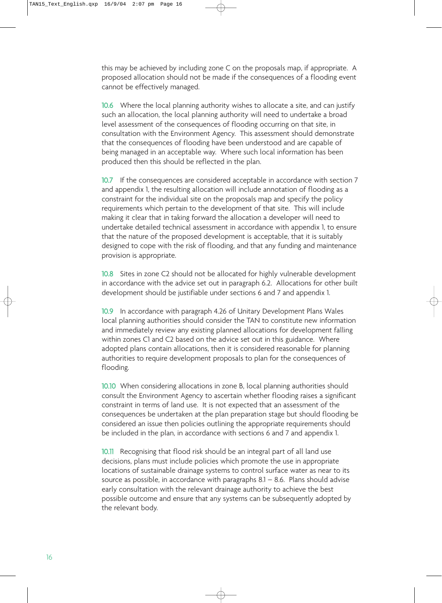this may be achieved by including zone C on the proposals map, if appropriate. A proposed allocation should not be made if the consequences of a flooding event cannot be effectively managed.

10.6 Where the local planning authority wishes to allocate a site, and can justify such an allocation, the local planning authority will need to undertake a broad level assessment of the consequences of flooding occurring on that site, in consultation with the Environment Agency. This assessment should demonstrate that the consequences of flooding have been understood and are capable of being managed in an acceptable way. Where such local information has been produced then this should be reflected in the plan.

10.7 If the consequences are considered acceptable in accordance with section 7 and appendix 1, the resulting allocation will include annotation of flooding as a constraint for the individual site on the proposals map and specify the policy requirements which pertain to the development of that site. This will include making it clear that in taking forward the allocation a developer will need to undertake detailed technical assessment in accordance with appendix 1, to ensure that the nature of the proposed development is acceptable, that it is suitably designed to cope with the risk of flooding, and that any funding and maintenance provision is appropriate.

10.8 Sites in zone C2 should not be allocated for highly vulnerable development in accordance with the advice set out in paragraph 6.2. Allocations for other built development should be justifiable under sections 6 and 7 and appendix 1.

10.9 In accordance with paragraph 4.26 of Unitary Development Plans Wales local planning authorities should consider the TAN to constitute new information and immediately review any existing planned allocations for development falling within zones C1 and C2 based on the advice set out in this guidance. Where adopted plans contain allocations, then it is considered reasonable for planning authorities to require development proposals to plan for the consequences of flooding.

10.10 When considering allocations in zone B, local planning authorities should consult the Environment Agency to ascertain whether flooding raises a significant constraint in terms of land use. It is not expected that an assessment of the consequences be undertaken at the plan preparation stage but should flooding be considered an issue then policies outlining the appropriate requirements should be included in the plan, in accordance with sections 6 and 7 and appendix 1.

10.11 Recognising that flood risk should be an integral part of all land use decisions, plans must include policies which promote the use in appropriate locations of sustainable drainage systems to control surface water as near to its source as possible, in accordance with paragraphs 8.1 – 8.6. Plans should advise early consultation with the relevant drainage authority to achieve the best possible outcome and ensure that any systems can be subsequently adopted by the relevant body.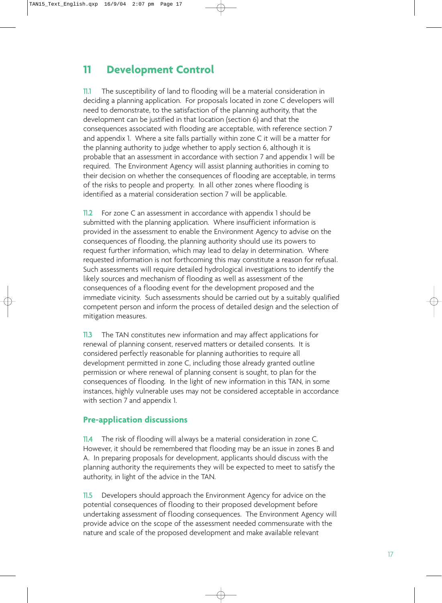# **11 Development Control**

11.1 The susceptibility of land to flooding will be a material consideration in deciding a planning application. For proposals located in zone C developers will need to demonstrate, to the satisfaction of the planning authority, that the development can be justified in that location (section 6) and that the consequences associated with flooding are acceptable, with reference section 7 and appendix 1. Where a site falls partially within zone C it will be a matter for the planning authority to judge whether to apply section 6, although it is probable that an assessment in accordance with section 7 and appendix 1 will be required. The Environment Agency will assist planning authorities in coming to their decision on whether the consequences of flooding are acceptable, in terms of the risks to people and property. In all other zones where flooding is identified as a material consideration section 7 will be applicable.

11.2 For zone C an assessment in accordance with appendix 1 should be submitted with the planning application. Where insufficient information is provided in the assessment to enable the Environment Agency to advise on the consequences of flooding, the planning authority should use its powers to request further information, which may lead to delay in determination. Where requested information is not forthcoming this may constitute a reason for refusal. Such assessments will require detailed hydrological investigations to identify the likely sources and mechanism of flooding as well as assessment of the consequences of a flooding event for the development proposed and the immediate vicinity. Such assessments should be carried out by a suitably qualified competent person and inform the process of detailed design and the selection of mitigation measures.

11.3 The TAN constitutes new information and may affect applications for renewal of planning consent, reserved matters or detailed consents. It is considered perfectly reasonable for planning authorities to require all development permitted in zone C, including those already granted outline permission or where renewal of planning consent is sought, to plan for the consequences of flooding. In the light of new information in this TAN, in some instances, highly vulnerable uses may not be considered acceptable in accordance with section 7 and appendix 1.

#### **Pre-application discussions**

11.4 The risk of flooding will always be a material consideration in zone C. However, it should be remembered that flooding may be an issue in zones B and A. In preparing proposals for development, applicants should discuss with the planning authority the requirements they will be expected to meet to satisfy the authority, in light of the advice in the TAN.

11.5 Developers should approach the Environment Agency for advice on the potential consequences of flooding to their proposed development before undertaking assessment of flooding consequences. The Environment Agency will provide advice on the scope of the assessment needed commensurate with the nature and scale of the proposed development and make available relevant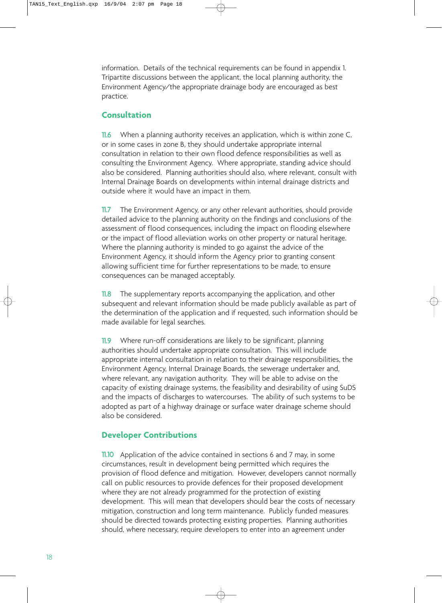information. Details of the technical requirements can be found in appendix 1. Tripartite discussions between the applicant, the local planning authority, the Environment Agency/the appropriate drainage body are encouraged as best practice.

## **Consultation**

11.6 When a planning authority receives an application, which is within zone C, or in some cases in zone B, they should undertake appropriate internal consultation in relation to their own flood defence responsibilities as well as consulting the Environment Agency. Where appropriate, standing advice should also be considered. Planning authorities should also, where relevant, consult with Internal Drainage Boards on developments within internal drainage districts and outside where it would have an impact in them.

11.7 The Environment Agency, or any other relevant authorities, should provide detailed advice to the planning authority on the findings and conclusions of the assessment of flood consequences, including the impact on flooding elsewhere or the impact of flood alleviation works on other property or natural heritage. Where the planning authority is minded to go against the advice of the Environment Agency, it should inform the Agency prior to granting consent allowing sufficient time for further representations to be made, to ensure consequences can be managed acceptably.

11.8 The supplementary reports accompanying the application, and other subsequent and relevant information should be made publicly available as part of the determination of the application and if requested, such information should be made available for legal searches.

11.9 Where run-off considerations are likely to be significant, planning authorities should undertake appropriate consultation. This will include appropriate internal consultation in relation to their drainage responsibilities, the Environment Agency, Internal Drainage Boards, the sewerage undertaker and, where relevant, any navigation authority. They will be able to advise on the capacity of existing drainage systems, the feasibility and desirability of using SuDS and the impacts of discharges to watercourses. The ability of such systems to be adopted as part of a highway drainage or surface water drainage scheme should also be considered.

## **Developer Contributions**

11.10 Application of the advice contained in sections 6 and 7 may, in some circumstances, result in development being permitted which requires the provision of flood defence and mitigation. However, developers cannot normally call on public resources to provide defences for their proposed development where they are not already programmed for the protection of existing development. This will mean that developers should bear the costs of necessary mitigation, construction and long term maintenance. Publicly funded measures should be directed towards protecting existing properties. Planning authorities should, where necessary, require developers to enter into an agreement under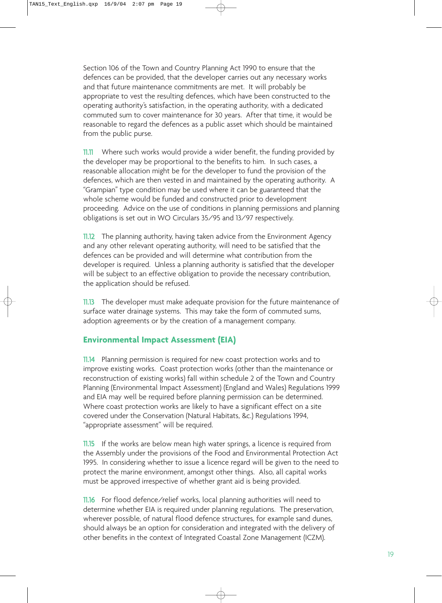Section 106 of the Town and Country Planning Act 1990 to ensure that the defences can be provided, that the developer carries out any necessary works and that future maintenance commitments are met. It will probably be appropriate to vest the resulting defences, which have been constructed to the operating authority's satisfaction, in the operating authority, with a dedicated commuted sum to cover maintenance for 30 years. After that time, it would be reasonable to regard the defences as a public asset which should be maintained from the public purse.

11.11 Where such works would provide a wider benefit, the funding provided by the developer may be proportional to the benefits to him. In such cases, a reasonable allocation might be for the developer to fund the provision of the defences, which are then vested in and maintained by the operating authority. A "Grampian" type condition may be used where it can be guaranteed that the whole scheme would be funded and constructed prior to development proceeding. Advice on the use of conditions in planning permissions and planning obligations is set out in WO Circulars 35/95 and 13/97 respectively.

11.12 The planning authority, having taken advice from the Environment Agency and any other relevant operating authority, will need to be satisfied that the defences can be provided and will determine what contribution from the developer is required. Unless a planning authority is satisfied that the developer will be subject to an effective obligation to provide the necessary contribution, the application should be refused.

11.13 The developer must make adequate provision for the future maintenance of surface water drainage systems. This may take the form of commuted sums, adoption agreements or by the creation of a management company.

#### **Environmental Impact Assessment (EIA)**

11.14 Planning permission is required for new coast protection works and to improve existing works. Coast protection works (other than the maintenance or reconstruction of existing works) fall within schedule 2 of the Town and Country Planning (Environmental Impact Assessment) (England and Wales) Regulations 1999 and EIA may well be required before planning permission can be determined. Where coast protection works are likely to have a significant effect on a site covered under the Conservation (Natural Habitats, &c.) Regulations 1994, "appropriate assessment" will be required.

11.15 If the works are below mean high water springs, a licence is required from the Assembly under the provisions of the Food and Environmental Protection Act 1995. In considering whether to issue a licence regard will be given to the need to protect the marine environment, amongst other things. Also, all capital works must be approved irrespective of whether grant aid is being provided.

11.16 For flood defence/relief works, local planning authorities will need to determine whether EIA is required under planning regulations. The preservation, wherever possible, of natural flood defence structures, for example sand dunes, should always be an option for consideration and integrated with the delivery of other benefits in the context of Integrated Coastal Zone Management (ICZM).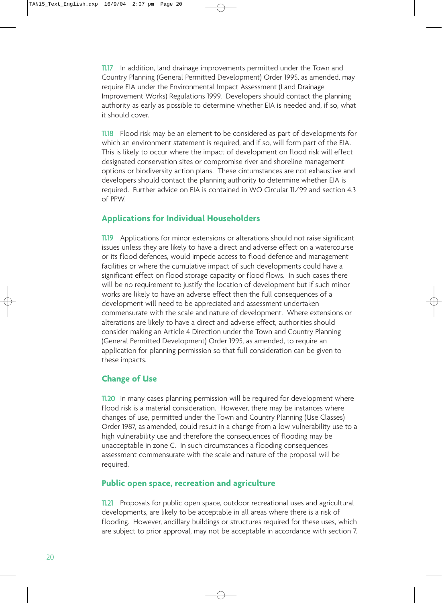11.17 In addition, land drainage improvements permitted under the Town and Country Planning (General Permitted Development) Order 1995, as amended, may require EIA under the Environmental Impact Assessment (Land Drainage Improvement Works) Regulations 1999. Developers should contact the planning authority as early as possible to determine whether EIA is needed and, if so, what it should cover.

11.18 Flood risk may be an element to be considered as part of developments for which an environment statement is required, and if so, will form part of the EIA. This is likely to occur where the impact of development on flood risk will effect designated conservation sites or compromise river and shoreline management options or biodiversity action plans. These circumstances are not exhaustive and developers should contact the planning authority to determine whether EIA is required. Further advice on EIA is contained in WO Circular 11/99 and section 4.3 of PPW.

# **Applications for Individual Householders**

11.19 Applications for minor extensions or alterations should not raise significant issues unless they are likely to have a direct and adverse effect on a watercourse or its flood defences, would impede access to flood defence and management facilities or where the cumulative impact of such developments could have a significant effect on flood storage capacity or flood flows. In such cases there will be no requirement to justify the location of development but if such minor works are likely to have an adverse effect then the full consequences of a development will need to be appreciated and assessment undertaken commensurate with the scale and nature of development. Where extensions or alterations are likely to have a direct and adverse effect, authorities should consider making an Article 4 Direction under the Town and Country Planning (General Permitted Development) Order 1995, as amended, to require an application for planning permission so that full consideration can be given to these impacts.

## **Change of Use**

11.20 In many cases planning permission will be required for development where flood risk is a material consideration. However, there may be instances where changes of use, permitted under the Town and Country Planning (Use Classes) Order 1987, as amended, could result in a change from a low vulnerability use to a high vulnerability use and therefore the consequences of flooding may be unacceptable in zone C. In such circumstances a flooding consequences assessment commensurate with the scale and nature of the proposal will be required.

#### **Public open space, recreation and agriculture**

11.21 Proposals for public open space, outdoor recreational uses and agricultural developments, are likely to be acceptable in all areas where there is a risk of flooding. However, ancillary buildings or structures required for these uses, which are subject to prior approval, may not be acceptable in accordance with section 7.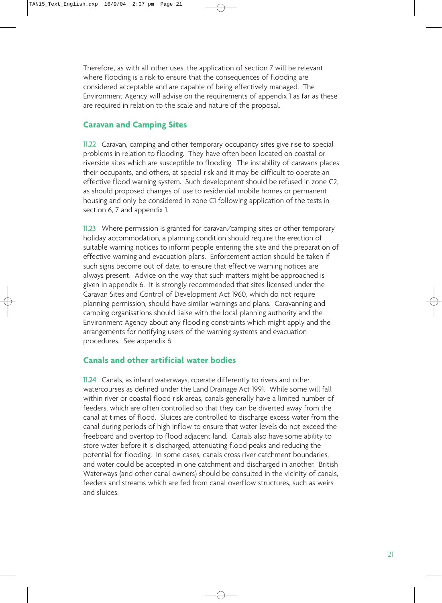Therefore, as with all other uses, the application of section 7 will be relevant where flooding is a risk to ensure that the consequences of flooding are considered acceptable and are capable of being effectively managed. The Environment Agency will advise on the requirements of appendix 1 as far as these are required in relation to the scale and nature of the proposal.

### **Caravan and Camping Sites**

11.22 Caravan, camping and other temporary occupancy sites give rise to special problems in relation to flooding. They have often been located on coastal or riverside sites which are susceptible to flooding. The instability of caravans places their occupants, and others, at special risk and it may be difficult to operate an effective flood warning system. Such development should be refused in zone C2, as should proposed changes of use to residential mobile homes or permanent housing and only be considered in zone C1 following application of the tests in section 6, 7 and appendix 1.

11.23 Where permission is granted for caravan/camping sites or other temporary holiday accommodation, a planning condition should require the erection of suitable warning notices to inform people entering the site and the preparation of effective warning and evacuation plans. Enforcement action should be taken if such signs become out of date, to ensure that effective warning notices are always present. Advice on the way that such matters might be approached is given in appendix 6. It is strongly recommended that sites licensed under the Caravan Sites and Control of Development Act 1960, which do not require planning permission, should have similar warnings and plans. Caravanning and camping organisations should liaise with the local planning authority and the Environment Agency about any flooding constraints which might apply and the arrangements for notifying users of the warning systems and evacuation procedures. See appendix 6.

#### **Canals and other artificial water bodies**

11.24 Canals, as inland waterways, operate differently to rivers and other watercourses as defined under the Land Drainage Act 1991. While some will fall within river or coastal flood risk areas, canals generally have a limited number of feeders, which are often controlled so that they can be diverted away from the canal at times of flood. Sluices are controlled to discharge excess water from the canal during periods of high inflow to ensure that water levels do not exceed the freeboard and overtop to flood adjacent land. Canals also have some ability to store water before it is discharged, attenuating flood peaks and reducing the potential for flooding. In some cases, canals cross river catchment boundaries, and water could be accepted in one catchment and discharged in another. British Waterways (and other canal owners) should be consulted in the vicinity of canals, feeders and streams which are fed from canal overflow structures, such as weirs and sluices.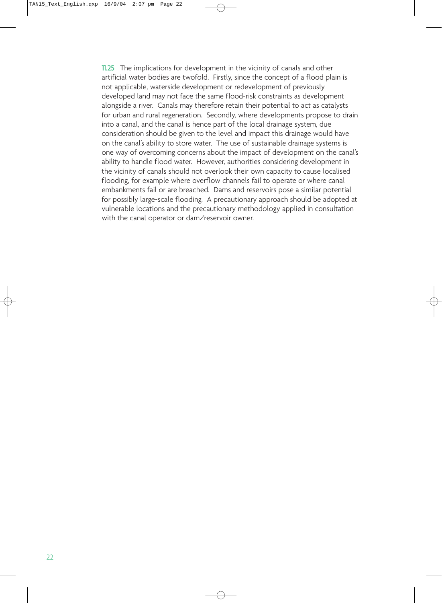11.25 The implications for development in the vicinity of canals and other artificial water bodies are twofold. Firstly, since the concept of a flood plain is not applicable, waterside development or redevelopment of previously developed land may not face the same flood-risk constraints as development alongside a river. Canals may therefore retain their potential to act as catalysts for urban and rural regeneration. Secondly, where developments propose to drain into a canal, and the canal is hence part of the local drainage system, due consideration should be given to the level and impact this drainage would have on the canal's ability to store water. The use of sustainable drainage systems is one way of overcoming concerns about the impact of development on the canal's ability to handle flood water. However, authorities considering development in the vicinity of canals should not overlook their own capacity to cause localised flooding, for example where overflow channels fail to operate or where canal embankments fail or are breached. Dams and reservoirs pose a similar potential for possibly large-scale flooding. A precautionary approach should be adopted at vulnerable locations and the precautionary methodology applied in consultation with the canal operator or dam/reservoir owner.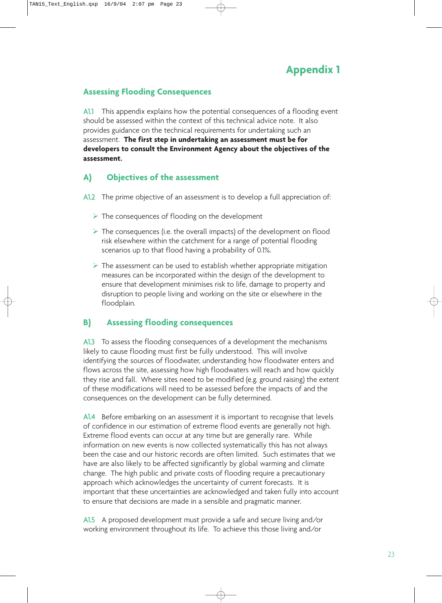

## **Assessing Flooding Consequences**

A1.1 This appendix explains how the potential consequences of a flooding event should be assessed within the context of this technical advice note. It also provides guidance on the technical requirements for undertaking such an assessment. **The first step in undertaking an assessment must be for developers to consult the Environment Agency about the objectives of the assessment.**

#### **A) Objectives of the assessment**

- A1.2 The prime objective of an assessment is to develop a full appreciation of:
	- The consequences of flooding on the development
	- $\triangleright$  The consequences (i.e. the overall impacts) of the development on flood risk elsewhere within the catchment for a range of potential flooding scenarios up to that flood having a probability of 0.1%.
	- $\triangleright$  The assessment can be used to establish whether appropriate mitigation measures can be incorporated within the design of the development to ensure that development minimises risk to life, damage to property and disruption to people living and working on the site or elsewhere in the floodplain.

#### **B) Assessing flooding consequences**

A1.3 To assess the flooding consequences of a development the mechanisms likely to cause flooding must first be fully understood. This will involve identifying the sources of floodwater, understanding how floodwater enters and flows across the site, assessing how high floodwaters will reach and how quickly they rise and fall. Where sites need to be modified (e.g. ground raising) the extent of these modifications will need to be assessed before the impacts of and the consequences on the development can be fully determined.

A1.4 Before embarking on an assessment it is important to recognise that levels of confidence in our estimation of extreme flood events are generally not high. Extreme flood events can occur at any time but are generally rare. While information on new events is now collected systematically this has not always been the case and our historic records are often limited. Such estimates that we have are also likely to be affected significantly by global warming and climate change. The high public and private costs of flooding require a precautionary approach which acknowledges the uncertainty of current forecasts. It is important that these uncertainties are acknowledged and taken fully into account to ensure that decisions are made in a sensible and pragmatic manner.

A1.5 A proposed development must provide a safe and secure living and/or working environment throughout its life. To achieve this those living and/or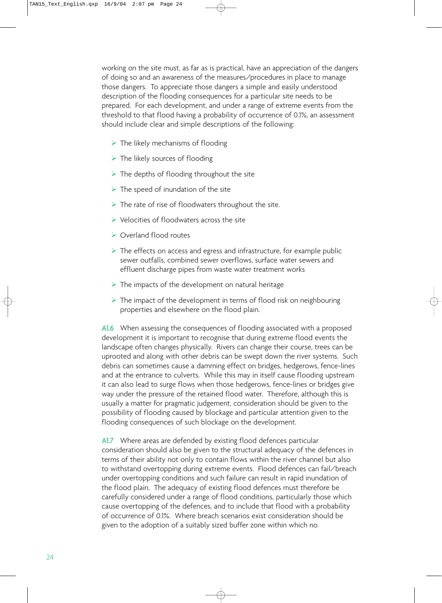working on the site must, as far as is practical, have an appreciation of the dangers of doing so and an awareness of the measures/procedures in place to manage those dangers. To appreciate those dangers a simple and easily understood description of the flooding consequences for a particular site needs to be prepared. For each development, and under a range of extreme events from the threshold to that flood having a probability of occurrence of 0.1%, an assessment should include clear and simple descriptions of the following:

- $\triangleright$  The likely mechanisms of flooding
- $\triangleright$  The likely sources of flooding
- $\triangleright$  The depths of flooding throughout the site
- $\triangleright$  The speed of inundation of the site
- $\triangleright$  The rate of rise of floodwaters throughout the site.
- Velocities of floodwaters across the site
- ▶ Overland flood routes
- $\triangleright$  The effects on access and egress and infrastructure, for example public sewer outfalls, combined sewer overflows, surface water sewers and effluent discharge pipes from waste water treatment works
- $\triangleright$  The impacts of the development on natural heritage
- $\triangleright$  The impact of the development in terms of flood risk on neighbouring properties and elsewhere on the flood plain.

A1.6 When assessing the consequences of flooding associated with a proposed development it is important to recognise that during extreme flood events the landscape often changes physically. Rivers can change their course, trees can be uprooted and along with other debris can be swept down the river systems. Such debris can sometimes cause a damming effect on bridges, hedgerows, fence-lines and at the entrance to culverts. While this may in itself cause flooding upstream it can also lead to surge flows when those hedgerows, fence-lines or bridges give way under the pressure of the retained flood water. Therefore, although this is usually a matter for pragmatic judgement, consideration should be given to the possibility of flooding caused by blockage and particular attention given to the flooding consequences of such blockage on the development.

A1.7 Where areas are defended by existing flood defences particular consideration should also be given to the structural adequacy of the defences in terms of their ability not only to contain flows within the river channel but also to withstand overtopping during extreme events. Flood defences can fail/breach under overtopping conditions and such failure can result in rapid inundation of the flood plain. The adequacy of existing flood defences must therefore be carefully considered under a range of flood conditions, particularly those which cause overtopping of the defences, and to include that flood with a probability of occurrence of 0.1%. Where breach scenarios exist consideration should be given to the adoption of a suitably sized buffer zone within which no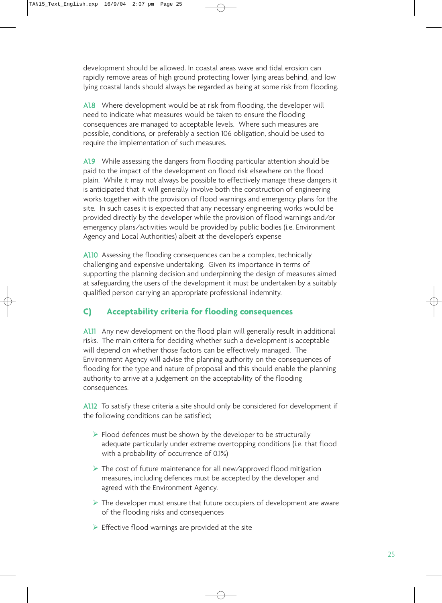development should be allowed. In coastal areas wave and tidal erosion can rapidly remove areas of high ground protecting lower lying areas behind, and low lying coastal lands should always be regarded as being at some risk from flooding.

A1.8 Where development would be at risk from flooding, the developer will need to indicate what measures would be taken to ensure the flooding consequences are managed to acceptable levels. Where such measures are possible, conditions, or preferably a section 106 obligation, should be used to require the implementation of such measures.

A1.9 While assessing the dangers from flooding particular attention should be paid to the impact of the development on flood risk elsewhere on the flood plain. While it may not always be possible to effectively manage these dangers it is anticipated that it will generally involve both the construction of engineering works together with the provision of flood warnings and emergency plans for the site. In such cases it is expected that any necessary engineering works would be provided directly by the developer while the provision of flood warnings and/or emergency plans/activities would be provided by public bodies (i.e. Environment Agency and Local Authorities) albeit at the developer's expense

A1.10 Assessing the flooding consequences can be a complex, technically challenging and expensive undertaking. Given its importance in terms of supporting the planning decision and underpinning the design of measures aimed at safeguarding the users of the development it must be undertaken by a suitably qualified person carrying an appropriate professional indemnity.

# **C) Acceptability criteria for flooding consequences**

A1.11 Any new development on the flood plain will generally result in additional risks. The main criteria for deciding whether such a development is acceptable will depend on whether those factors can be effectively managed. The Environment Agency will advise the planning authority on the consequences of flooding for the type and nature of proposal and this should enable the planning authority to arrive at a judgement on the acceptability of the flooding consequences.

A1.12 To satisfy these criteria a site should only be considered for development if the following conditions can be satisfied;

- $\triangleright$  Flood defences must be shown by the developer to be structurally adequate particularly under extreme overtopping conditions (i.e. that flood with a probability of occurrence of 0.1%)
- $\triangleright$  The cost of future maintenance for all new/approved flood mitigation measures, including defences must be accepted by the developer and agreed with the Environment Agency.
- $\triangleright$  The developer must ensure that future occupiers of development are aware of the flooding risks and consequences
- $\triangleright$  Effective flood warnings are provided at the site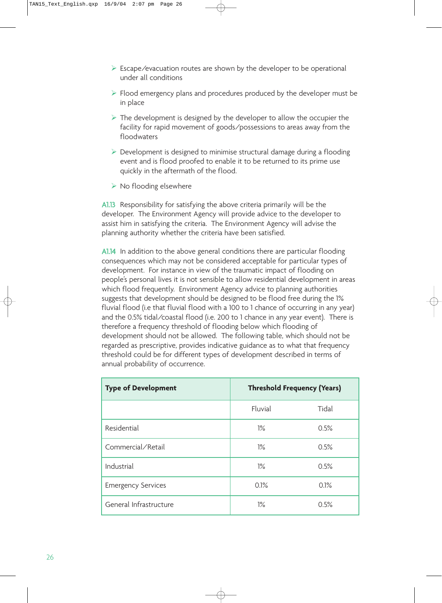- $\triangleright$  Escape/evacuation routes are shown by the developer to be operational under all conditions
- $\triangleright$  Flood emergency plans and procedures produced by the developer must be in place
- $\triangleright$  The development is designed by the developer to allow the occupier the facility for rapid movement of goods/possessions to areas away from the floodwaters
- $\triangleright$  Development is designed to minimise structural damage during a flooding event and is flood proofed to enable it to be returned to its prime use quickly in the aftermath of the flood.
- $\triangleright$  No flooding elsewhere

A1.13 Responsibility for satisfying the above criteria primarily will be the developer. The Environment Agency will provide advice to the developer to assist him in satisfying the criteria. The Environment Agency will advise the planning authority whether the criteria have been satisfied.

A1.14 In addition to the above general conditions there are particular flooding consequences which may not be considered acceptable for particular types of development. For instance in view of the traumatic impact of flooding on people's personal lives it is not sensible to allow residential development in areas which flood frequently. Environment Agency advice to planning authorities suggests that development should be designed to be flood free during the 1% fluvial flood (i.e that fluvial flood with a 100 to 1 chance of occurring in any year) and the 0.5% tidal/coastal flood (i.e. 200 to 1 chance in any year event). There is therefore a frequency threshold of flooding below which flooding of development should not be allowed. The following table, which should not be regarded as prescriptive, provides indicative guidance as to what that frequency threshold could be for different types of development described in terms of annual probability of occurrence.

| <b>Type of Development</b> | <b>Threshold Frequency (Years)</b> |       |  |
|----------------------------|------------------------------------|-------|--|
|                            | Fluvial                            | Tidal |  |
| Residential                | $1\%$                              | 0.5%  |  |
| Commercial/Retail          | $1\%$                              | 0.5%  |  |
| Industrial                 | $1\%$                              | 0.5%  |  |
| <b>Emergency Services</b>  | 0.1%                               | 0.1%  |  |
| General Infrastructure     | $1\%$                              | 0.5%  |  |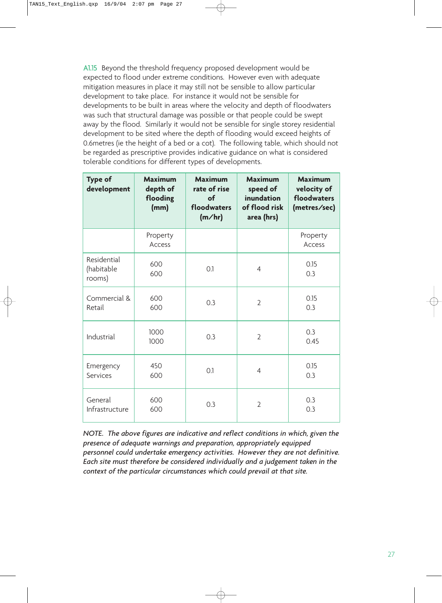A1.15 Beyond the threshold frequency proposed development would be expected to flood under extreme conditions. However even with adequate mitigation measures in place it may still not be sensible to allow particular development to take place. For instance it would not be sensible for developments to be built in areas where the velocity and depth of floodwaters was such that structural damage was possible or that people could be swept away by the flood. Similarly it would not be sensible for single storey residential development to be sited where the depth of flooding would exceed heights of 0.6metres (ie the height of a bed or a cot). The following table, which should not be regarded as prescriptive provides indicative guidance on what is considered tolerable conditions for different types of developments.

| <b>Type of</b><br>development       | <b>Maximum</b><br>depth of<br>flooding<br>(mm) | <b>Maximum</b><br>rate of rise<br>of<br>floodwaters<br>(m/hr) | <b>Maximum</b><br>speed of<br>inundation<br>of flood risk<br>area (hrs) | <b>Maximum</b><br>velocity of<br>floodwaters<br>(metres/sec) |
|-------------------------------------|------------------------------------------------|---------------------------------------------------------------|-------------------------------------------------------------------------|--------------------------------------------------------------|
|                                     | Property<br>Access                             |                                                               |                                                                         | Property<br>Access                                           |
| Residential<br>(habitable<br>rooms) | 600<br>600                                     | 0.1                                                           | $\overline{4}$                                                          | 0.15<br>0.3                                                  |
| Commercial &<br>Retail              | 600<br>600                                     | 0.3                                                           | $\overline{2}$                                                          | 0.15<br>0.3                                                  |
| Industrial                          | 1000<br>1000                                   | 0.3                                                           | $\overline{2}$                                                          | 0.3<br>0.45                                                  |
| Emergency<br><b>Services</b>        | 450<br>600                                     | O.1                                                           | $\overline{4}$                                                          | 0.15<br>0.3                                                  |
| General<br>Infrastructure           | 600<br>600                                     | 0.3                                                           | $\overline{2}$                                                          | 0.3<br>0.3                                                   |

*NOTE. The above figures are indicative and reflect conditions in which, given the presence of adequate warnings and preparation, appropriately equipped personnel could undertake emergency activities. However they are not definitive. Each site must therefore be considered individually and a judgement taken in the context of the particular circumstances which could prevail at that site.*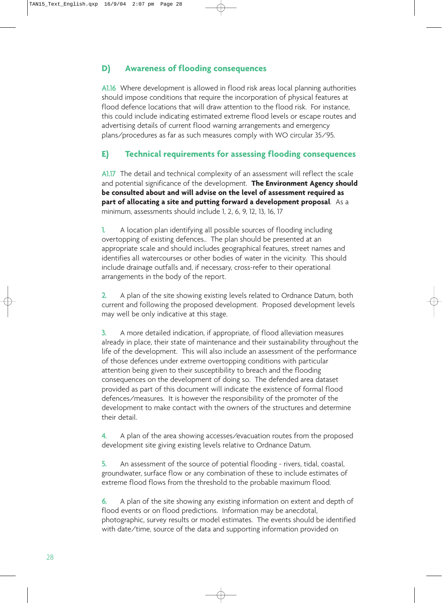# **D) Awareness of flooding consequences**

A1.16 Where development is allowed in flood risk areas local planning authorities should impose conditions that require the incorporation of physical features at flood defence locations that will draw attention to the flood risk. For instance, this could include indicating estimated extreme flood levels or escape routes and advertising details of current flood warning arrangements and emergency plans/procedures as far as such measures comply with WO circular 35/95.

# **E) Technical requirements for assessing flooding consequences**

A1.17 The detail and technical complexity of an assessment will reflect the scale and potential significance of the development. **The Environment Agency should be consulted about and will advise on the level of assessment required as part of allocating a site and putting forward a development proposal**. As a minimum, assessments should include 1, 2, 6, 9, 12, 13, 16, 17

1. A location plan identifying all possible sources of flooding including overtopping of existing defences.. The plan should be presented at an appropriate scale and should includes geographical features, street names and identifies all watercourses or other bodies of water in the vicinity. This should include drainage outfalls and, if necessary, cross-refer to their operational arrangements in the body of the report.

2. A plan of the site showing existing levels related to Ordnance Datum, both current and following the proposed development. Proposed development levels may well be only indicative at this stage.

3. A more detailed indication, if appropriate, of flood alleviation measures already in place, their state of maintenance and their sustainability throughout the life of the development. This will also include an assessment of the performance of those defences under extreme overtopping conditions with particular attention being given to their susceptibility to breach and the flooding consequences on the development of doing so. The defended area dataset provided as part of this document will indicate the existence of formal flood defences/measures. It is however the responsibility of the promoter of the development to make contact with the owners of the structures and determine their detail.

4. A plan of the area showing accesses/evacuation routes from the proposed development site giving existing levels relative to Ordnance Datum.

5. An assessment of the source of potential flooding - rivers, tidal, coastal, groundwater, surface flow or any combination of these to include estimates of extreme flood flows from the threshold to the probable maximum flood.

6. A plan of the site showing any existing information on extent and depth of flood events or on flood predictions. Information may be anecdotal, photographic, survey results or model estimates. The events should be identified with date/time, source of the data and supporting information provided on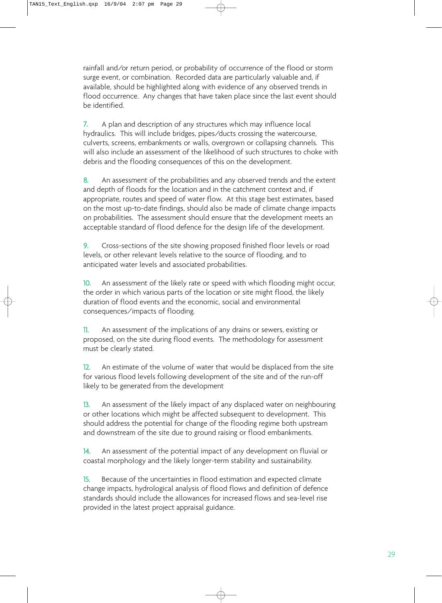rainfall and/or return period, or probability of occurrence of the flood or storm surge event, or combination. Recorded data are particularly valuable and, if available, should be highlighted along with evidence of any observed trends in flood occurrence. Any changes that have taken place since the last event should be identified.

7. A plan and description of any structures which may influence local hydraulics. This will include bridges, pipes/ducts crossing the watercourse, culverts, screens, embankments or walls, overgrown or collapsing channels. This will also include an assessment of the likelihood of such structures to choke with debris and the flooding consequences of this on the development.

8. An assessment of the probabilities and any observed trends and the extent and depth of floods for the location and in the catchment context and, if appropriate, routes and speed of water flow. At this stage best estimates, based on the most up-to-date findings, should also be made of climate change impacts on probabilities. The assessment should ensure that the development meets an acceptable standard of flood defence for the design life of the development.

9. Cross-sections of the site showing proposed finished floor levels or road levels, or other relevant levels relative to the source of flooding, and to anticipated water levels and associated probabilities.

10. An assessment of the likely rate or speed with which flooding might occur, the order in which various parts of the location or site might flood, the likely duration of flood events and the economic, social and environmental consequences/impacts of flooding.

11. An assessment of the implications of any drains or sewers, existing or proposed, on the site during flood events. The methodology for assessment must be clearly stated.

12. An estimate of the volume of water that would be displaced from the site for various flood levels following development of the site and of the run-off likely to be generated from the development

13. An assessment of the likely impact of any displaced water on neighbouring or other locations which might be affected subsequent to development. This should address the potential for change of the flooding regime both upstream and downstream of the site due to ground raising or flood embankments.

14. An assessment of the potential impact of any development on fluvial or coastal morphology and the likely longer-term stability and sustainability.

15. Because of the uncertainties in flood estimation and expected climate change impacts, hydrological analysis of flood flows and definition of defence standards should include the allowances for increased flows and sea-level rise provided in the latest project appraisal guidance.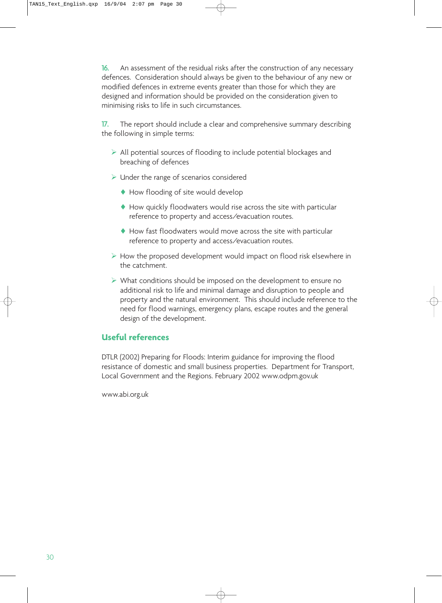16. An assessment of the residual risks after the construction of any necessary defences. Consideration should always be given to the behaviour of any new or modified defences in extreme events greater than those for which they are designed and information should be provided on the consideration given to minimising risks to life in such circumstances.

17. The report should include a clear and comprehensive summary describing the following in simple terms:

- $\triangleright$  All potential sources of flooding to include potential blockages and breaching of defences
- $\triangleright$  Under the range of scenarios considered
	- ♦ How flooding of site would develop
	- ♦ How quickly floodwaters would rise across the site with particular reference to property and access/evacuation routes.
	- ♦ How fast floodwaters would move across the site with particular reference to property and access/evacuation routes.
- $\triangleright$  How the proposed development would impact on flood risk elsewhere in the catchment.
- $\triangleright$  What conditions should be imposed on the development to ensure no additional risk to life and minimal damage and disruption to people and property and the natural environment. This should include reference to the need for flood warnings, emergency plans, escape routes and the general design of the development.

## **Useful references**

DTLR (2002) Preparing for Floods: Interim guidance for improving the flood resistance of domestic and small business properties. Department for Transport, Local Government and the Regions. February 2002 www.odpm.gov.uk

www.abi.org.uk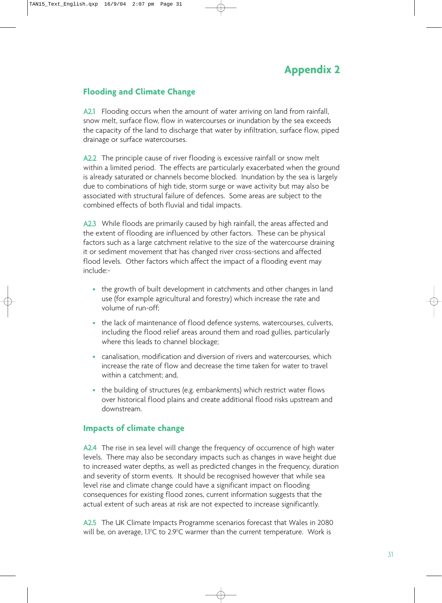# **Appendix 2**

## **Flooding and Climate Change**

A2.1 Flooding occurs when the amount of water arriving on land from rainfall, snow melt, surface flow, flow in watercourses or inundation by the sea exceeds the capacity of the land to discharge that water by infiltration, surface flow, piped drainage or surface watercourses.

A2.2 The principle cause of river flooding is excessive rainfall or snow melt within a limited period. The effects are particularly exacerbated when the ground is already saturated or channels become blocked. Inundation by the sea is largely due to combinations of high tide, storm surge or wave activity but may also be associated with structural failure of defences. Some areas are subject to the combined effects of both fluvial and tidal impacts.

A2.3 While floods are primarily caused by high rainfall, the areas affected and the extent of flooding are influenced by other factors. These can be physical factors such as a large catchment relative to the size of the watercourse draining it or sediment movement that has changed river cross-sections and affected flood levels. Other factors which affect the impact of a flooding event may include:-

- the growth of built development in catchments and other changes in land use (for example agricultural and forestry) which increase the rate and volume of run-off;
- the lack of maintenance of flood defence systems, watercourses, culverts, including the flood relief areas around them and road gullies, particularly where this leads to channel blockage;
- canalisation, modification and diversion of rivers and watercourses, which increase the rate of flow and decrease the time taken for water to travel within a catchment; and,
- the building of structures (e.g. embankments) which restrict water flows over historical flood plains and create additional flood risks upstream and downstream.

#### **Impacts of climate change**

A2.4 The rise in sea level will change the frequency of occurrence of high water levels. There may also be secondary impacts such as changes in wave height due to increased water depths, as well as predicted changes in the frequency, duration and severity of storm events. It should be recognised however that while sea level rise and climate change could have a significant impact on flooding consequences for existing flood zones, current information suggests that the actual extent of such areas at risk are not expected to increase significantly.

A2.5 The UK Climate Impacts Programme scenarios forecast that Wales in 2080 will be, on average, 1.1°C to 2.9°C warmer than the current temperature. Work is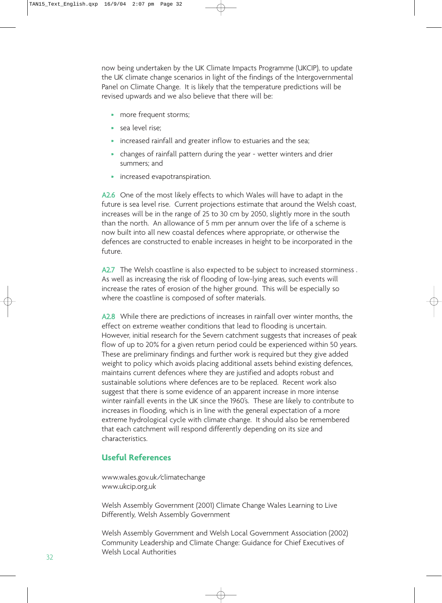now being undertaken by the UK Climate Impacts Programme (UKCIP), to update the UK climate change scenarios in light of the findings of the Intergovernmental Panel on Climate Change. It is likely that the temperature predictions will be revised upwards and we also believe that there will be:

- more frequent storms;
- sea level rise:
- increased rainfall and greater inflow to estuaries and the sea;
- changes of rainfall pattern during the year wetter winters and drier summers; and
- increased evapotranspiration.

A2.6 One of the most likely effects to which Wales will have to adapt in the future is sea level rise. Current projections estimate that around the Welsh coast, increases will be in the range of 25 to 30 cm by 2050, slightly more in the south than the north. An allowance of 5 mm per annum over the life of a scheme is now built into all new coastal defences where appropriate, or otherwise the defences are constructed to enable increases in height to be incorporated in the future.

A2.7 The Welsh coastline is also expected to be subject to increased storminess. As well as increasing the risk of flooding of low-lying areas, such events will increase the rates of erosion of the higher ground. This will be especially so where the coastline is composed of softer materials.

A2.8 While there are predictions of increases in rainfall over winter months, the effect on extreme weather conditions that lead to flooding is uncertain. However, initial research for the Severn catchment suggests that increases of peak flow of up to 20% for a given return period could be experienced within 50 years. These are preliminary findings and further work is required but they give added weight to policy which avoids placing additional assets behind existing defences, maintains current defences where they are justified and adopts robust and sustainable solutions where defences are to be replaced. Recent work also suggest that there is some evidence of an apparent increase in more intense winter rainfall events in the UK since the 1960's. These are likely to contribute to increases in flooding, which is in line with the general expectation of a more extreme hydrological cycle with climate change. It should also be remembered that each catchment will respond differently depending on its size and characteristics.

#### **Useful References**

www.wales.gov.uk/climatechange www.ukcip.org,uk

Welsh Assembly Government (2001) Climate Change Wales Learning to Live Differently, Welsh Assembly Government

Welsh Assembly Government and Welsh Local Government Association (2002) Community Leadership and Climate Change: Guidance for Chief Executives of Welsh Local Authorities <sup>32</sup>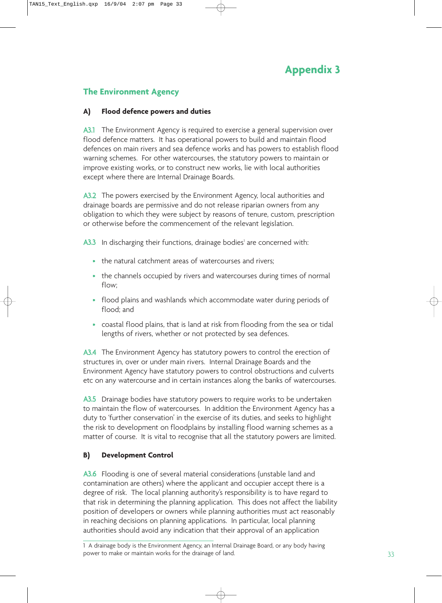# **Appendix 3**

# **The Environment Agency**

#### **A) Flood defence powers and duties**

A3.1 The Environment Agency is required to exercise a general supervision over flood defence matters. It has operational powers to build and maintain flood defences on main rivers and sea defence works and has powers to establish flood warning schemes. For other watercourses, the statutory powers to maintain or improve existing works, or to construct new works, lie with local authorities except where there are Internal Drainage Boards.

A3.2 The powers exercised by the Environment Agency, local authorities and drainage boards are permissive and do not release riparian owners from any obligation to which they were subject by reasons of tenure, custom, prescription or otherwise before the commencement of the relevant legislation.

 $A3.3$  In discharging their functions, drainage bodies<sup>1</sup> are concerned with:

- the natural catchment areas of watercourses and rivers:
- the channels occupied by rivers and watercourses during times of normal flow;
- flood plains and washlands which accommodate water during periods of flood; and
- coastal flood plains, that is land at risk from flooding from the sea or tidal lengths of rivers, whether or not protected by sea defences.

A3.4 The Environment Agency has statutory powers to control the erection of structures in, over or under main rivers. Internal Drainage Boards and the Environment Agency have statutory powers to control obstructions and culverts etc on any watercourse and in certain instances along the banks of watercourses.

A3.5 Drainage bodies have statutory powers to require works to be undertaken to maintain the flow of watercourses. In addition the Environment Agency has a duty to 'further conservation' in the exercise of its duties, and seeks to highlight the risk to development on floodplains by installing flood warning schemes as a matter of course. It is vital to recognise that all the statutory powers are limited.

#### **B) Development Control**

A3.6 Flooding is one of several material considerations (unstable land and contamination are others) where the applicant and occupier accept there is a degree of risk. The local planning authority's responsibility is to have regard to that risk in determining the planning application. This does not affect the liability position of developers or owners while planning authorities must act reasonably in reaching decisions on planning applications. In particular, local planning authorities should avoid any indication that their approval of an application

<sup>1</sup> A drainage body is the Environment Agency, an Internal Drainage Board, or any body having power to make or maintain works for the drainage of land.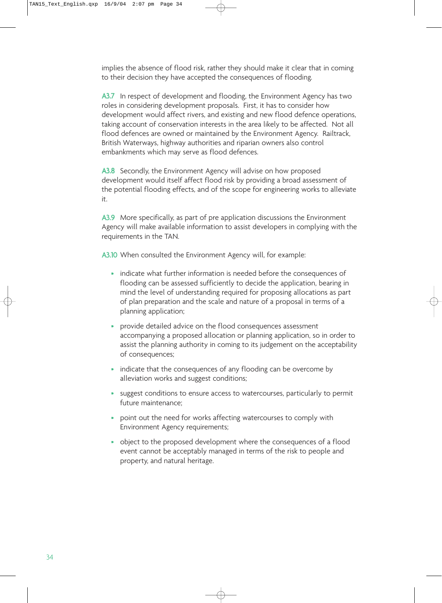implies the absence of flood risk, rather they should make it clear that in coming to their decision they have accepted the consequences of flooding.

A3.7 In respect of development and flooding, the Environment Agency has two roles in considering development proposals. First, it has to consider how development would affect rivers, and existing and new flood defence operations, taking account of conservation interests in the area likely to be affected. Not all flood defences are owned or maintained by the Environment Agency. Railtrack, British Waterways, highway authorities and riparian owners also control embankments which may serve as flood defences.

A3.8 Secondly, the Environment Agency will advise on how proposed development would itself affect flood risk by providing a broad assessment of the potential flooding effects, and of the scope for engineering works to alleviate it.

A3.9 More specifically, as part of pre application discussions the Environment Agency will make available information to assist developers in complying with the requirements in the TAN.

A3.10 When consulted the Environment Agency will, for example:

- indicate what further information is needed before the consequences of flooding can be assessed sufficiently to decide the application, bearing in mind the level of understanding required for proposing allocations as part of plan preparation and the scale and nature of a proposal in terms of a planning application;
- provide detailed advice on the flood consequences assessment accompanying a proposed allocation or planning application, so in order to assist the planning authority in coming to its judgement on the acceptability of consequences;
- indicate that the consequences of any flooding can be overcome by alleviation works and suggest conditions;
- suggest conditions to ensure access to watercourses, particularly to permit future maintenance;
- point out the need for works affecting watercourses to comply with Environment Agency requirements;
- object to the proposed development where the consequences of a flood event cannot be acceptably managed in terms of the risk to people and property, and natural heritage.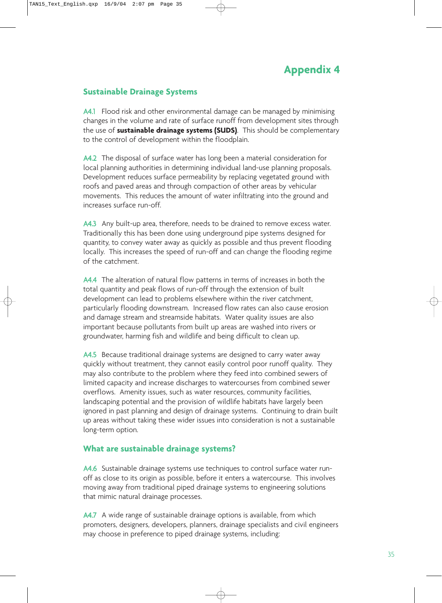# **Appendix 4**

## **Sustainable Drainage Systems**

A4.1 Flood risk and other environmental damage can be managed by minimising changes in the volume and rate of surface runoff from development sites through the use of **sustainable drainage systems (SUDS)**. This should be complementary to the control of development within the floodplain.

A4.2 The disposal of surface water has long been a material consideration for local planning authorities in determining individual land-use planning proposals. Development reduces surface permeability by replacing vegetated ground with roofs and paved areas and through compaction of other areas by vehicular movements. This reduces the amount of water infiltrating into the ground and increases surface run-off.

A4.3 Any built-up area, therefore, needs to be drained to remove excess water. Traditionally this has been done using underground pipe systems designed for quantity, to convey water away as quickly as possible and thus prevent flooding locally. This increases the speed of run-off and can change the flooding regime of the catchment.

A4.4 The alteration of natural flow patterns in terms of increases in both the total quantity and peak flows of run-off through the extension of built development can lead to problems elsewhere within the river catchment, particularly flooding downstream. Increased flow rates can also cause erosion and damage stream and streamside habitats. Water quality issues are also important because pollutants from built up areas are washed into rivers or groundwater, harming fish and wildlife and being difficult to clean up.

A4.5 Because traditional drainage systems are designed to carry water away quickly without treatment, they cannot easily control poor runoff quality. They may also contribute to the problem where they feed into combined sewers of limited capacity and increase discharges to watercourses from combined sewer overflows. Amenity issues, such as water resources, community facilities, landscaping potential and the provision of wildlife habitats have largely been ignored in past planning and design of drainage systems. Continuing to drain built up areas without taking these wider issues into consideration is not a sustainable long-term option.

#### **What are sustainable drainage systems?**

A4.6 Sustainable drainage systems use techniques to control surface water runoff as close to its origin as possible, before it enters a watercourse. This involves moving away from traditional piped drainage systems to engineering solutions that mimic natural drainage processes.

A4.7 A wide range of sustainable drainage options is available, from which promoters, designers, developers, planners, drainage specialists and civil engineers may choose in preference to piped drainage systems, including: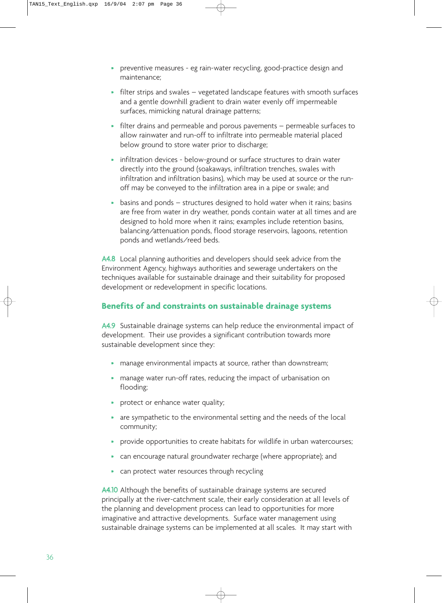- preventive measures eg rain-water recycling, good-practice design and maintenance;
- filter strips and swales vegetated landscape features with smooth surfaces and a gentle downhill gradient to drain water evenly off impermeable surfaces, mimicking natural drainage patterns;
- filter drains and permeable and porous pavements permeable surfaces to allow rainwater and run-off to infiltrate into permeable material placed below ground to store water prior to discharge;
- infiltration devices below-ground or surface structures to drain water directly into the ground (soakaways, infiltration trenches, swales with infiltration and infiltration basins), which may be used at source or the runoff may be conveyed to the infiltration area in a pipe or swale; and
- basins and ponds structures designed to hold water when it rains; basins are free from water in dry weather, ponds contain water at all times and are designed to hold more when it rains; examples include retention basins, balancing/attenuation ponds, flood storage reservoirs, lagoons, retention ponds and wetlands/reed beds.

A4.8 Local planning authorities and developers should seek advice from the Environment Agency, highways authorities and sewerage undertakers on the techniques available for sustainable drainage and their suitability for proposed development or redevelopment in specific locations.

## **Benefits of and constraints on sustainable drainage systems**

A4.9 Sustainable drainage systems can help reduce the environmental impact of development. Their use provides a significant contribution towards more sustainable development since they:

- manage environmental impacts at source, rather than downstream;
- manage water run-off rates, reducing the impact of urbanisation on flooding;
- protect or enhance water quality;
- are sympathetic to the environmental setting and the needs of the local community;
- provide opportunities to create habitats for wildlife in urban watercourses;
- can encourage natural groundwater recharge (where appropriate); and
- can protect water resources through recycling

A4.10 Although the benefits of sustainable drainage systems are secured principally at the river-catchment scale, their early consideration at all levels of the planning and development process can lead to opportunities for more imaginative and attractive developments. Surface water management using sustainable drainage systems can be implemented at all scales. It may start with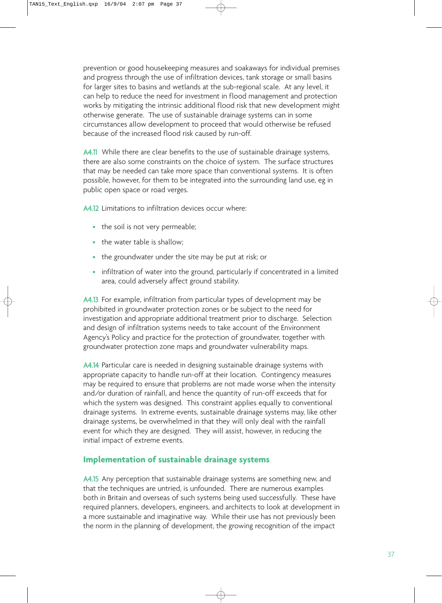prevention or good housekeeping measures and soakaways for individual premises and progress through the use of infiltration devices, tank storage or small basins for larger sites to basins and wetlands at the sub-regional scale. At any level, it can help to reduce the need for investment in flood management and protection works by mitigating the intrinsic additional flood risk that new development might otherwise generate. The use of sustainable drainage systems can in some circumstances allow development to proceed that would otherwise be refused because of the increased flood risk caused by run-off.

A4.11 While there are clear benefits to the use of sustainable drainage systems, there are also some constraints on the choice of system. The surface structures that may be needed can take more space than conventional systems. It is often possible, however, for them to be integrated into the surrounding land use, eg in public open space or road verges.

A4.12 Limitations to infiltration devices occur where:

- the soil is not very permeable;
- the water table is shallow;
- the groundwater under the site may be put at risk; or
- infiltration of water into the ground, particularly if concentrated in a limited area, could adversely affect ground stability.

A4.13 For example, infiltration from particular types of development may be prohibited in groundwater protection zones or be subject to the need for investigation and appropriate additional treatment prior to discharge. Selection and design of infiltration systems needs to take account of the Environment Agency's Policy and practice for the protection of groundwater, together with groundwater protection zone maps and groundwater vulnerability maps.

A4.14 Particular care is needed in designing sustainable drainage systems with appropriate capacity to handle run-off at their location. Contingency measures may be required to ensure that problems are not made worse when the intensity and/or duration of rainfall, and hence the quantity of run-off exceeds that for which the system was designed. This constraint applies equally to conventional drainage systems. In extreme events, sustainable drainage systems may, like other drainage systems, be overwhelmed in that they will only deal with the rainfall event for which they are designed. They will assist, however, in reducing the initial impact of extreme events.

#### **Implementation of sustainable drainage systems**

A4.15 Any perception that sustainable drainage systems are something new, and that the techniques are untried, is unfounded. There are numerous examples both in Britain and overseas of such systems being used successfully. These have required planners, developers, engineers, and architects to look at development in a more sustainable and imaginative way. While their use has not previously been the norm in the planning of development, the growing recognition of the impact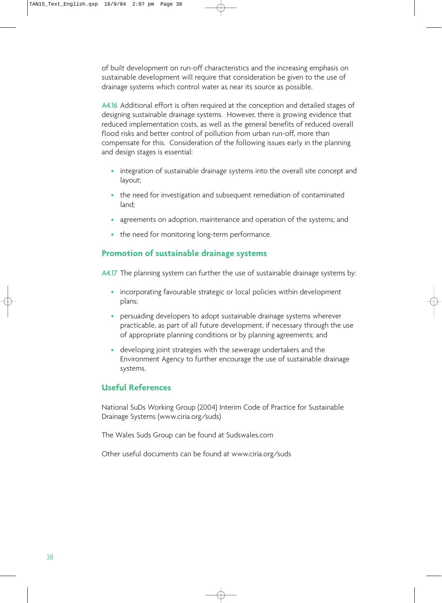of built development on run-off characteristics and the increasing emphasis on sustainable development will require that consideration be given to the use of drainage systems which control water as near its source as possible.

A4.16 Additional effort is often required at the conception and detailed stages of designing sustainable drainage systems. However, there is growing evidence that reduced implementation costs, as well as the general benefits of reduced overall flood risks and better control of pollution from urban run-off, more than compensate for this. Consideration of the following issues early in the planning and design stages is essential:

- integration of sustainable drainage systems into the overall site concept and layout;
- the need for investigation and subsequent remediation of contaminated land;
- agreements on adoption, maintenance and operation of the systems; and
- the need for monitoring long-term performance.

## **Promotion of sustainable drainage systems**

A4.17 The planning system can further the use of sustainable drainage systems by:

- incorporating favourable strategic or local policies within development plans;
- persuading developers to adopt sustainable drainage systems wherever practicable, as part of all future development, if necessary through the use of appropriate planning conditions or by planning agreements; and
- developing joint strategies with the sewerage undertakers and the Environment Agency to further encourage the use of sustainable drainage systems.

## **Useful References**

National SuDs Working Group (2004) Interim Code of Practice for Sustainable Drainage Systems (www.ciria.org/suds)

The Wales Suds Group can be found at Sudswales.com

Other useful documents can be found at www.ciria.org/suds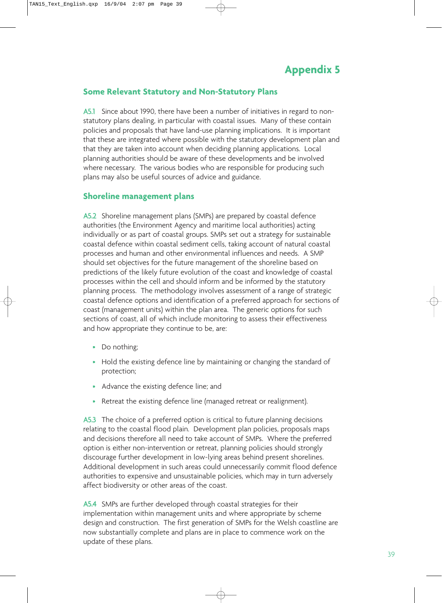# **Appendix 5**

## **Some Relevant Statutory and Non-Statutory Plans**

A5.1 Since about 1990, there have been a number of initiatives in regard to nonstatutory plans dealing, in particular with coastal issues. Many of these contain policies and proposals that have land-use planning implications. It is important that these are integrated where possible with the statutory development plan and that they are taken into account when deciding planning applications. Local planning authorities should be aware of these developments and be involved where necessary. The various bodies who are responsible for producing such plans may also be useful sources of advice and guidance.

#### **Shoreline management plans**

A5.2 Shoreline management plans (SMPs) are prepared by coastal defence authorities (the Environment Agency and maritime local authorities) acting individually or as part of coastal groups. SMPs set out a strategy for sustainable coastal defence within coastal sediment cells, taking account of natural coastal processes and human and other environmental influences and needs. A SMP should set objectives for the future management of the shoreline based on predictions of the likely future evolution of the coast and knowledge of coastal processes within the cell and should inform and be informed by the statutory planning process. The methodology involves assessment of a range of strategic coastal defence options and identification of a preferred approach for sections of coast (management units) within the plan area. The generic options for such sections of coast, all of which include monitoring to assess their effectiveness and how appropriate they continue to be, are:

- Do nothing;
- Hold the existing defence line by maintaining or changing the standard of protection;
- Advance the existing defence line; and
- Retreat the existing defence line (managed retreat or realignment).

A5.3 The choice of a preferred option is critical to future planning decisions relating to the coastal flood plain. Development plan policies, proposals maps and decisions therefore all need to take account of SMPs. Where the preferred option is either non-intervention or retreat, planning policies should strongly discourage further development in low-lying areas behind present shorelines. Additional development in such areas could unnecessarily commit flood defence authorities to expensive and unsustainable policies, which may in turn adversely affect biodiversity or other areas of the coast.

A5.4 SMPs are further developed through coastal strategies for their implementation within management units and where appropriate by scheme design and construction. The first generation of SMPs for the Welsh coastline are now substantially complete and plans are in place to commence work on the update of these plans.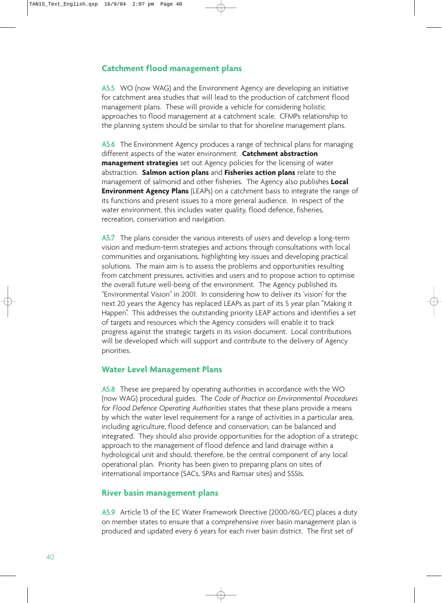## **Catchment flood management plans**

A5.5 WO (now WAG) and the Environment Agency are developing an initiative for catchment area studies that will lead to the production of catchment flood management plans. These will provide a vehicle for considering holistic approaches to flood management at a catchment scale. CFMPs relationship to the planning system should be similar to that for shoreline management plans.

A5.6 The Environment Agency produces a range of technical plans for managing different aspects of the water environment. **Catchment abstraction management strategies** set out Agency policies for the licensing of water abstraction. **Salmon action plans** and **Fisheries action plans** relate to the management of salmonid and other fisheries. The Agency also publishes **Local Environment Agency Plans** (LEAPs) on a catchment basis to integrate the range of its functions and present issues to a more general audience. In respect of the water environment, this includes water quality, flood defence, fisheries, recreation, conservation and navigation.

A5.7 The plans consider the various interests of users and develop a long-term vision and medium-term strategies and actions through consultations with local communities and organisations, highlighting key issues and developing practical solutions. The main aim is to assess the problems and opportunities resulting from catchment pressures, activities and users and to propose action to optimise the overall future well-being of the environment. The Agency published its "Environmental Vision" in 2001. In considering how to deliver its 'vision' for the next 20 years the Agency has replaced LEAPs as part of its 5 year plan "Making it Happen". This addresses the outstanding priority LEAP actions and identifies a set of targets and resources which the Agency considers will enable it to track progress against the strategic targets in its vision document. Local contributions will be developed which will support and contribute to the delivery of Agency priorities.

#### **Water Level Management Plans**

A5.8 These are prepared by operating authorities in accordance with the WO (now WAG) procedural guides. The *Code of Practice on Environmental Procedures for Flood Defence Operating Authorities* states that these plans provide a means by which the water level requirement for a range of activities in a particular area, including agriculture, flood defence and conservation, can be balanced and integrated. They should also provide opportunities for the adoption of a strategic approach to the management of flood defence and land drainage within a hydrological unit and should, therefore, be the central component of any local operational plan. Priority has been given to preparing plans on sites of international importance (SACs, SPAs and Ramsar sites) and SSSIs.

#### **River basin management plans**

A5.9 Article 13 of the EC Water Framework Directive (2000/60/EC) places a duty on member states to ensure that a comprehensive river basin management plan is produced and updated every 6 years for each river basin district. The first set of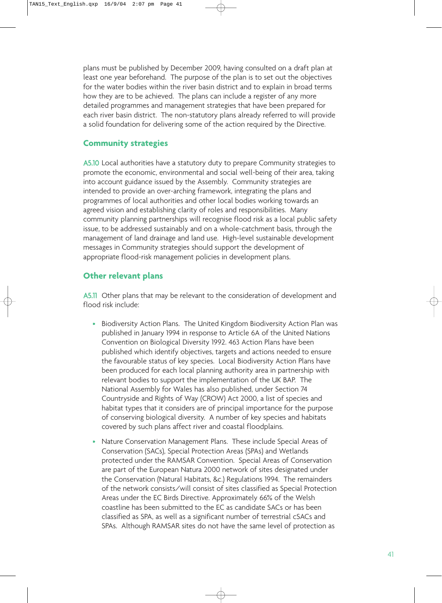plans must be published by December 2009, having consulted on a draft plan at least one year beforehand. The purpose of the plan is to set out the objectives for the water bodies within the river basin district and to explain in broad terms how they are to be achieved. The plans can include a register of any more detailed programmes and management strategies that have been prepared for each river basin district. The non-statutory plans already referred to will provide a solid foundation for delivering some of the action required by the Directive.

#### **Community strategies**

A5.10 Local authorities have a statutory duty to prepare Community strategies to promote the economic, environmental and social well-being of their area, taking into account guidance issued by the Assembly. Community strategies are intended to provide an over-arching framework, integrating the plans and programmes of local authorities and other local bodies working towards an agreed vision and establishing clarity of roles and responsibilities. Many community planning partnerships will recognise flood risk as a local public safety issue, to be addressed sustainably and on a whole-catchment basis, through the management of land drainage and land use. High-level sustainable development messages in Community strategies should support the development of appropriate flood-risk management policies in development plans.

#### **Other relevant plans**

A5.11 Other plans that may be relevant to the consideration of development and flood risk include:

- Biodiversity Action Plans. The United Kingdom Biodiversity Action Plan was published in January 1994 in response to Article 6A of the United Nations Convention on Biological Diversity 1992. 463 Action Plans have been published which identify objectives, targets and actions needed to ensure the favourable status of key species. Local Biodiversity Action Plans have been produced for each local planning authority area in partnership with relevant bodies to support the implementation of the UK BAP. The National Assembly for Wales has also published, under Section 74 Countryside and Rights of Way (CROW) Act 2000, a list of species and habitat types that it considers are of principal importance for the purpose of conserving biological diversity. A number of key species and habitats covered by such plans affect river and coastal floodplains.
- Nature Conservation Management Plans. These include Special Areas of Conservation (SACs), Special Protection Areas (SPAs) and Wetlands protected under the RAMSAR Convention. Special Areas of Conservation are part of the European Natura 2000 network of sites designated under the Conservation (Natural Habitats, &c.) Regulations 1994. The remainders of the network consists/will consist of sites classified as Special Protection Areas under the EC Birds Directive. Approximately 66% of the Welsh coastline has been submitted to the EC as candidate SACs or has been classified as SPA, as well as a significant number of terrestrial cSACs and SPAs. Although RAMSAR sites do not have the same level of protection as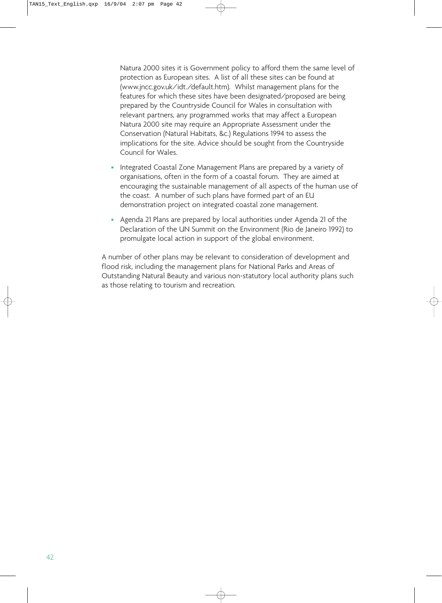Natura 2000 sites it is Government policy to afford them the same level of protection as European sites. A list of all these sites can be found at (www.jncc.gov.uk/idt./default.htm). Whilst management plans for the features for which these sites have been designated/proposed are being prepared by the Countryside Council for Wales in consultation with relevant partners, any programmed works that may affect a European Natura 2000 site may require an Appropriate Assessment under the Conservation (Natural Habitats, &c.) Regulations 1994 to assess the implications for the site. Advice should be sought from the Countryside Council for Wales.

- Integrated Coastal Zone Management Plans are prepared by a variety of organisations, often in the form of a coastal forum. They are aimed at encouraging the sustainable management of all aspects of the human use of the coast. A number of such plans have formed part of an EU demonstration project on integrated coastal zone management.
- Agenda 21 Plans are prepared by local authorities under Agenda 21 of the Declaration of the UN Summit on the Environment (Rio de Janeiro 1992) to promulgate local action in support of the global environment.

A number of other plans may be relevant to consideration of development and flood risk, including the management plans for National Parks and Areas of Outstanding Natural Beauty and various non-statutory local authority plans such as those relating to tourism and recreation.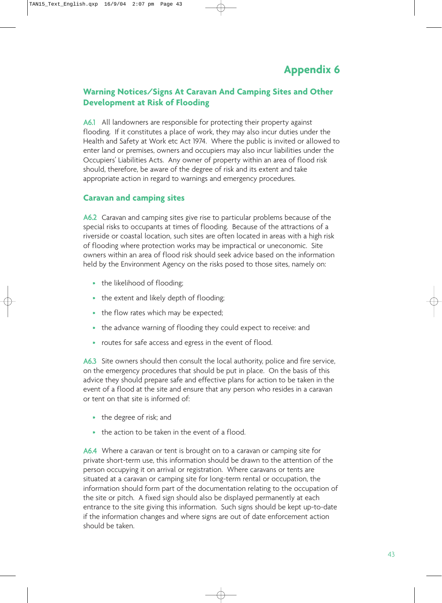# **Warning Notices/Signs At Caravan And Camping Sites and Other Development at Risk of Flooding**

A6.1 All landowners are responsible for protecting their property against flooding. If it constitutes a place of work, they may also incur duties under the Health and Safety at Work etc Act 1974. Where the public is invited or allowed to enter land or premises, owners and occupiers may also incur liabilities under the Occupiers' Liabilities Acts. Any owner of property within an area of flood risk should, therefore, be aware of the degree of risk and its extent and take appropriate action in regard to warnings and emergency procedures.

# **Caravan and camping sites**

A6.2 Caravan and camping sites give rise to particular problems because of the special risks to occupants at times of flooding. Because of the attractions of a riverside or coastal location, such sites are often located in areas with a high risk of flooding where protection works may be impractical or uneconomic. Site owners within an area of flood risk should seek advice based on the information held by the Environment Agency on the risks posed to those sites, namely on:

- the likelihood of flooding;
- the extent and likely depth of flooding;
- the flow rates which may be expected;
- the advance warning of flooding they could expect to receive: and
- routes for safe access and egress in the event of flood.

A6.3 Site owners should then consult the local authority, police and fire service, on the emergency procedures that should be put in place. On the basis of this advice they should prepare safe and effective plans for action to be taken in the event of a flood at the site and ensure that any person who resides in a caravan or tent on that site is informed of:

- the degree of risk; and
- the action to be taken in the event of a flood.

A6.4 Where a caravan or tent is brought on to a caravan or camping site for private short-term use, this information should be drawn to the attention of the person occupying it on arrival or registration. Where caravans or tents are situated at a caravan or camping site for long-term rental or occupation, the information should form part of the documentation relating to the occupation of the site or pitch. A fixed sign should also be displayed permanently at each entrance to the site giving this information. Such signs should be kept up-to-date if the information changes and where signs are out of date enforcement action should be taken.